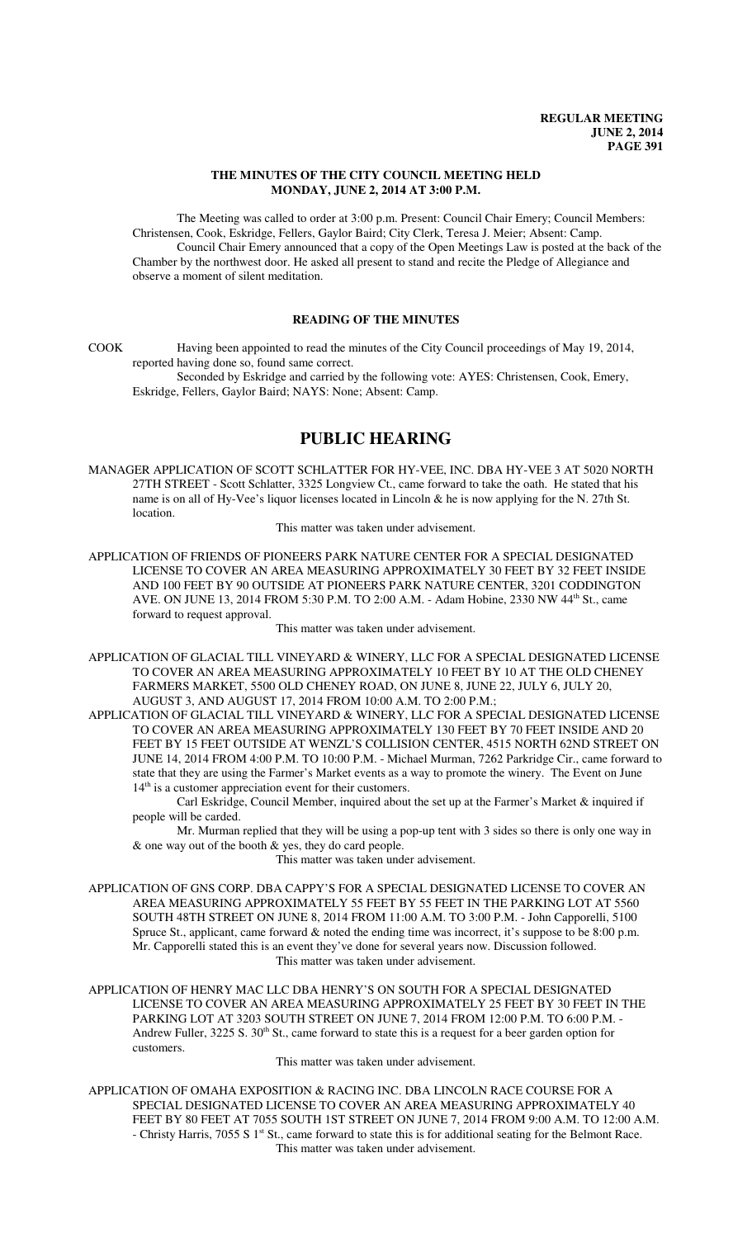### **THE MINUTES OF THE CITY COUNCIL MEETING HELD MONDAY, JUNE 2, 2014 AT 3:00 P.M.**

The Meeting was called to order at 3:00 p.m. Present: Council Chair Emery; Council Members: Christensen, Cook, Eskridge, Fellers, Gaylor Baird; City Clerk, Teresa J. Meier; Absent: Camp. Council Chair Emery announced that a copy of the Open Meetings Law is posted at the back of the Chamber by the northwest door. He asked all present to stand and recite the Pledge of Allegiance and observe a moment of silent meditation.

## **READING OF THE MINUTES**

COOK Having been appointed to read the minutes of the City Council proceedings of May 19, 2014, reported having done so, found same correct.

Seconded by Eskridge and carried by the following vote: AYES: Christensen, Cook, Emery, Eskridge, Fellers, Gaylor Baird; NAYS: None; Absent: Camp.

## **PUBLIC HEARING**

MANAGER APPLICATION OF SCOTT SCHLATTER FOR HY-VEE, INC. DBA HY-VEE 3 AT 5020 NORTH 27TH STREET - Scott Schlatter, 3325 Longview Ct., came forward to take the oath. He stated that his name is on all of Hy-Vee's liquor licenses located in Lincoln & he is now applying for the N. 27th St. location.

This matter was taken under advisement.

APPLICATION OF FRIENDS OF PIONEERS PARK NATURE CENTER FOR A SPECIAL DESIGNATED LICENSE TO COVER AN AREA MEASURING APPROXIMATELY 30 FEET BY 32 FEET INSIDE AND 100 FEET BY 90 OUTSIDE AT PIONEERS PARK NATURE CENTER, 3201 CODDINGTON AVE. ON JUNE 13, 2014 FROM 5:30 P.M. TO 2:00 A.M. - Adam Hobine, 2330 NW 44<sup>th</sup> St., came forward to request approval.

This matter was taken under advisement.

- APPLICATION OF GLACIAL TILL VINEYARD & WINERY, LLC FOR A SPECIAL DESIGNATED LICENSE TO COVER AN AREA MEASURING APPROXIMATELY 10 FEET BY 10 AT THE OLD CHENEY FARMERS MARKET, 5500 OLD CHENEY ROAD, ON JUNE 8, JUNE 22, JULY 6, JULY 20, AUGUST 3, AND AUGUST 17, 2014 FROM 10:00 A.M. TO 2:00 P.M.;
- APPLICATION OF GLACIAL TILL VINEYARD & WINERY, LLC FOR A SPECIAL DESIGNATED LICENSE TO COVER AN AREA MEASURING APPROXIMATELY 130 FEET BY 70 FEET INSIDE AND 20 FEET BY 15 FEET OUTSIDE AT WENZL'S COLLISION CENTER, 4515 NORTH 62ND STREET ON JUNE 14, 2014 FROM 4:00 P.M. TO 10:00 P.M. - Michael Murman, 7262 Parkridge Cir., came forward to state that they are using the Farmer's Market events as a way to promote the winery. The Event on June 14<sup>th</sup> is a customer appreciation event for their customers.

Carl Eskridge, Council Member, inquired about the set up at the Farmer's Market & inquired if people will be carded.

Mr. Murman replied that they will be using a pop-up tent with 3 sides so there is only one way in & one way out of the booth & yes, they do card people.

This matter was taken under advisement.

- APPLICATION OF GNS CORP. DBA CAPPY'S FOR A SPECIAL DESIGNATED LICENSE TO COVER AN AREA MEASURING APPROXIMATELY 55 FEET BY 55 FEET IN THE PARKING LOT AT 5560 SOUTH 48TH STREET ON JUNE 8, 2014 FROM 11:00 A.M. TO 3:00 P.M. - John Capporelli, 5100 Spruce St., applicant, came forward & noted the ending time was incorrect, it's suppose to be 8:00 p.m. Mr. Capporelli stated this is an event they've done for several years now. Discussion followed. This matter was taken under advisement.
- APPLICATION OF HENRY MAC LLC DBA HENRY'S ON SOUTH FOR A SPECIAL DESIGNATED LICENSE TO COVER AN AREA MEASURING APPROXIMATELY 25 FEET BY 30 FEET IN THE PARKING LOT AT 3203 SOUTH STREET ON JUNE 7, 2014 FROM 12:00 P.M. TO 6:00 P.M. - Andrew Fuller, 3225 S. 30<sup>th</sup> St., came forward to state this is a request for a beer garden option for customers.

This matter was taken under advisement.

APPLICATION OF OMAHA EXPOSITION & RACING INC. DBA LINCOLN RACE COURSE FOR A SPECIAL DESIGNATED LICENSE TO COVER AN AREA MEASURING APPROXIMATELY 40 FEET BY 80 FEET AT 7055 SOUTH 1ST STREET ON JUNE 7, 2014 FROM 9:00 A.M. TO 12:00 A.M. - Christy Harris, 7055 S 1<sup>st</sup> St., came forward to state this is for additional seating for the Belmont Race. This matter was taken under advisement.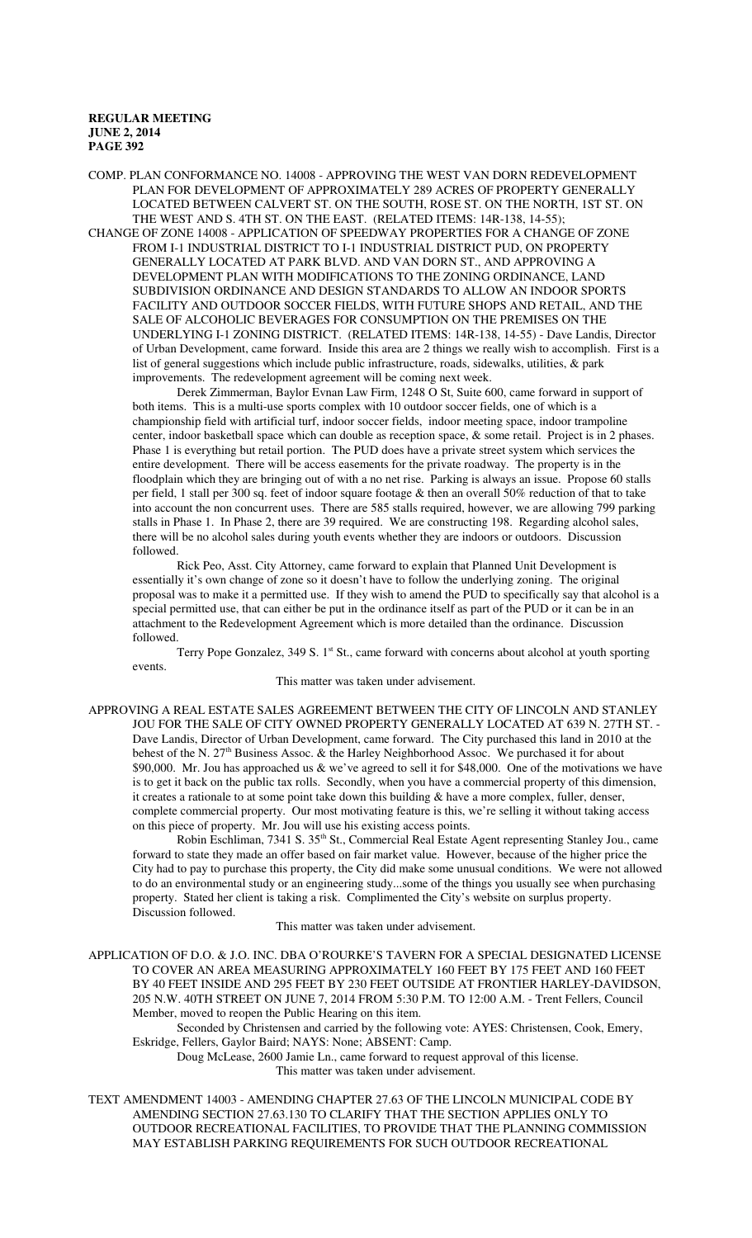COMP. PLAN CONFORMANCE NO. 14008 - APPROVING THE WEST VAN DORN REDEVELOPMENT PLAN FOR DEVELOPMENT OF APPROXIMATELY 289 ACRES OF PROPERTY GENERALLY LOCATED BETWEEN CALVERT ST. ON THE SOUTH, ROSE ST. ON THE NORTH, 1ST ST. ON THE WEST AND S. 4TH ST. ON THE EAST. (RELATED ITEMS: 14R-138, 14-55); CHANGE OF ZONE 14008 - APPLICATION OF SPEEDWAY PROPERTIES FOR A CHANGE OF ZONE FROM I-1 INDUSTRIAL DISTRICT TO I-1 INDUSTRIAL DISTRICT PUD, ON PROPERTY

GENERALLY LOCATED AT PARK BLVD. AND VAN DORN ST., AND APPROVING A DEVELOPMENT PLAN WITH MODIFICATIONS TO THE ZONING ORDINANCE, LAND SUBDIVISION ORDINANCE AND DESIGN STANDARDS TO ALLOW AN INDOOR SPORTS FACILITY AND OUTDOOR SOCCER FIELDS, WITH FUTURE SHOPS AND RETAIL, AND THE SALE OF ALCOHOLIC BEVERAGES FOR CONSUMPTION ON THE PREMISES ON THE UNDERLYING I-1 ZONING DISTRICT. (RELATED ITEMS: 14R-138, 14-55) - Dave Landis, Director of Urban Development, came forward. Inside this area are 2 things we really wish to accomplish. First is a list of general suggestions which include public infrastructure, roads, sidewalks, utilities, & park improvements. The redevelopment agreement will be coming next week.

Derek Zimmerman, Baylor Evnan Law Firm, 1248 O St, Suite 600, came forward in support of both items. This is a multi-use sports complex with 10 outdoor soccer fields, one of which is a championship field with artificial turf, indoor soccer fields, indoor meeting space, indoor trampoline center, indoor basketball space which can double as reception space, & some retail. Project is in 2 phases. Phase 1 is everything but retail portion. The PUD does have a private street system which services the entire development. There will be access easements for the private roadway. The property is in the floodplain which they are bringing out of with a no net rise. Parking is always an issue. Propose 60 stalls per field, 1 stall per 300 sq. feet of indoor square footage & then an overall 50% reduction of that to take into account the non concurrent uses. There are 585 stalls required, however, we are allowing 799 parking stalls in Phase 1. In Phase 2, there are 39 required. We are constructing 198. Regarding alcohol sales, there will be no alcohol sales during youth events whether they are indoors or outdoors. Discussion followed.

Rick Peo, Asst. City Attorney, came forward to explain that Planned Unit Development is essentially it's own change of zone so it doesn't have to follow the underlying zoning. The original proposal was to make it a permitted use. If they wish to amend the PUD to specifically say that alcohol is a special permitted use, that can either be put in the ordinance itself as part of the PUD or it can be in an attachment to the Redevelopment Agreement which is more detailed than the ordinance. Discussion followed.

Terry Pope Gonzalez,  $349 S$ . 1st St., came forward with concerns about alcohol at youth sporting events.

This matter was taken under advisement.

APPROVING A REAL ESTATE SALES AGREEMENT BETWEEN THE CITY OF LINCOLN AND STANLEY JOU FOR THE SALE OF CITY OWNED PROPERTY GENERALLY LOCATED AT 639 N. 27TH ST. - Dave Landis, Director of Urban Development, came forward. The City purchased this land in 2010 at the behest of the N. 27<sup>th</sup> Business Assoc. & the Harley Neighborhood Assoc. We purchased it for about \$90,000. Mr. Jou has approached us & we've agreed to sell it for \$48,000. One of the motivations we have is to get it back on the public tax rolls. Secondly, when you have a commercial property of this dimension, it creates a rationale to at some point take down this building & have a more complex, fuller, denser, complete commercial property. Our most motivating feature is this, we're selling it without taking access on this piece of property. Mr. Jou will use his existing access points.

Robin Eschliman, 7341 S. 35<sup>th</sup> St., Commercial Real Estate Agent representing Stanley Jou., came forward to state they made an offer based on fair market value. However, because of the higher price the City had to pay to purchase this property, the City did make some unusual conditions. We were not allowed to do an environmental study or an engineering study...some of the things you usually see when purchasing property. Stated her client is taking a risk. Complimented the City's website on surplus property. Discussion followed.

This matter was taken under advisement.

APPLICATION OF D.O. & J.O. INC. DBA O'ROURKE'S TAVERN FOR A SPECIAL DESIGNATED LICENSE TO COVER AN AREA MEASURING APPROXIMATELY 160 FEET BY 175 FEET AND 160 FEET BY 40 FEET INSIDE AND 295 FEET BY 230 FEET OUTSIDE AT FRONTIER HARLEY-DAVIDSON, 205 N.W. 40TH STREET ON JUNE 7, 2014 FROM 5:30 P.M. TO 12:00 A.M. - Trent Fellers, Council Member, moved to reopen the Public Hearing on this item.

Seconded by Christensen and carried by the following vote: AYES: Christensen, Cook, Emery, Eskridge, Fellers, Gaylor Baird; NAYS: None; ABSENT: Camp.

Doug McLease, 2600 Jamie Ln., came forward to request approval of this license. This matter was taken under advisement.

TEXT AMENDMENT 14003 - AMENDING CHAPTER 27.63 OF THE LINCOLN MUNICIPAL CODE BY AMENDING SECTION 27.63.130 TO CLARIFY THAT THE SECTION APPLIES ONLY TO OUTDOOR RECREATIONAL FACILITIES, TO PROVIDE THAT THE PLANNING COMMISSION MAY ESTABLISH PARKING REQUIREMENTS FOR SUCH OUTDOOR RECREATIONAL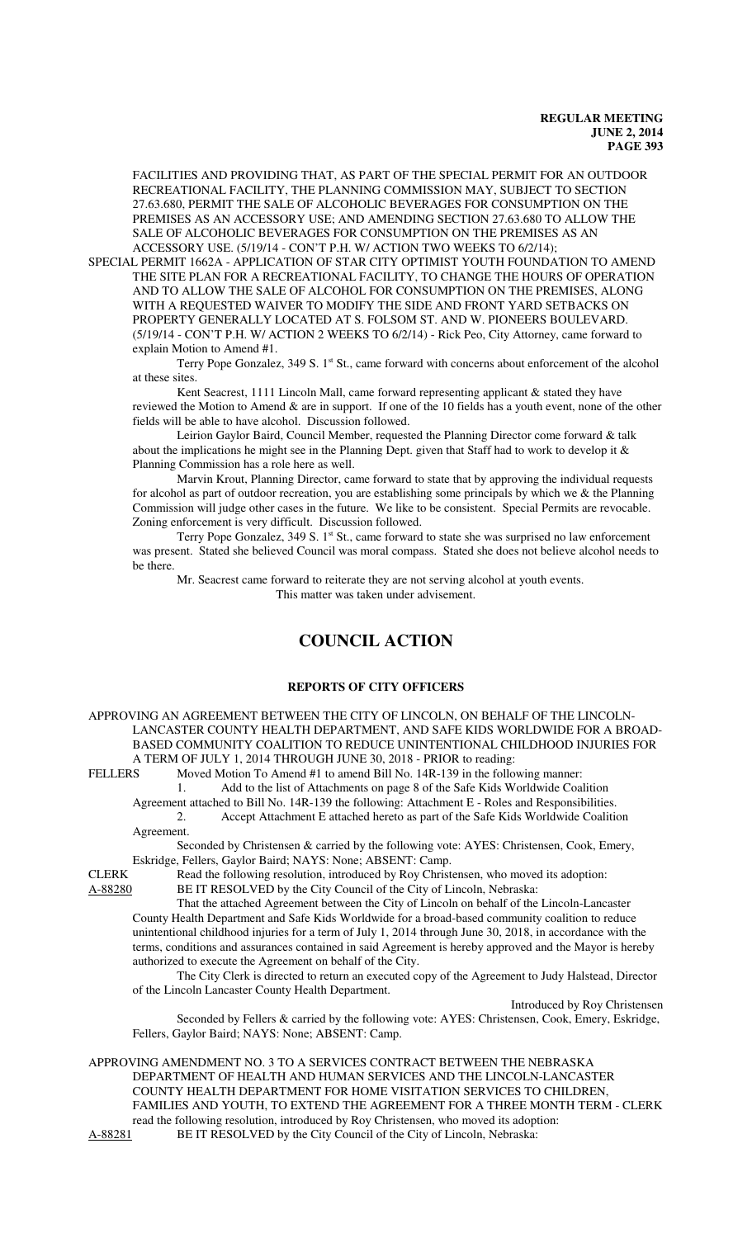FACILITIES AND PROVIDING THAT, AS PART OF THE SPECIAL PERMIT FOR AN OUTDOOR RECREATIONAL FACILITY, THE PLANNING COMMISSION MAY, SUBJECT TO SECTION 27.63.680, PERMIT THE SALE OF ALCOHOLIC BEVERAGES FOR CONSUMPTION ON THE PREMISES AS AN ACCESSORY USE; AND AMENDING SECTION 27.63.680 TO ALLOW THE SALE OF ALCOHOLIC BEVERAGES FOR CONSUMPTION ON THE PREMISES AS AN ACCESSORY USE. (5/19/14 - CON'T P.H. W/ ACTION TWO WEEKS TO 6/2/14);

SPECIAL PERMIT 1662A - APPLICATION OF STAR CITY OPTIMIST YOUTH FOUNDATION TO AMEND THE SITE PLAN FOR A RECREATIONAL FACILITY, TO CHANGE THE HOURS OF OPERATION AND TO ALLOW THE SALE OF ALCOHOL FOR CONSUMPTION ON THE PREMISES, ALONG WITH A REQUESTED WAIVER TO MODIFY THE SIDE AND FRONT YARD SETBACKS ON PROPERTY GENERALLY LOCATED AT S. FOLSOM ST. AND W. PIONEERS BOULEVARD. (5/19/14 - CON'T P.H. W/ ACTION 2 WEEKS TO 6/2/14) - Rick Peo, City Attorney, came forward to explain Motion to Amend #1.

Terry Pope Gonzalez,  $349 S$ . 1st St., came forward with concerns about enforcement of the alcohol at these sites.

Kent Seacrest, 1111 Lincoln Mall, came forward representing applicant  $\&$  stated they have reviewed the Motion to Amend & are in support. If one of the 10 fields has a youth event, none of the other fields will be able to have alcohol. Discussion followed.

Leirion Gaylor Baird, Council Member, requested the Planning Director come forward & talk about the implications he might see in the Planning Dept. given that Staff had to work to develop it  $\&$ Planning Commission has a role here as well.

Marvin Krout, Planning Director, came forward to state that by approving the individual requests for alcohol as part of outdoor recreation, you are establishing some principals by which we & the Planning Commission will judge other cases in the future. We like to be consistent. Special Permits are revocable. Zoning enforcement is very difficult. Discussion followed.

Terry Pope Gonzalez, 349 S. 1<sup>st</sup> St., came forward to state she was surprised no law enforcement was present. Stated she believed Council was moral compass. Stated she does not believe alcohol needs to be there.

Mr. Seacrest came forward to reiterate they are not serving alcohol at youth events. This matter was taken under advisement.

# **COUNCIL ACTION**

## **REPORTS OF CITY OFFICERS**

APPROVING AN AGREEMENT BETWEEN THE CITY OF LINCOLN, ON BEHALF OF THE LINCOLN-LANCASTER COUNTY HEALTH DEPARTMENT, AND SAFE KIDS WORLDWIDE FOR A BROAD-BASED COMMUNITY COALITION TO REDUCE UNINTENTIONAL CHILDHOOD INJURIES FOR A TERM OF JULY 1, 2014 THROUGH JUNE 30, 2018 - PRIOR to reading:

FELLERS Moved Motion To Amend #1 to amend Bill No. 14R-139 in the following manner:

1. Add to the list of Attachments on page 8 of the Safe Kids Worldwide Coalition Agreement attached to Bill No. 14R-139 the following: Attachment E - Roles and Responsibilities. 2. Accept Attachment E attached hereto as part of the Safe Kids Worldwide Coalition Agreement.

Seconded by Christensen & carried by the following vote: AYES: Christensen, Cook, Emery, Eskridge, Fellers, Gaylor Baird; NAYS: None; ABSENT: Camp.

CLERK Read the following resolution, introduced by Roy Christensen, who moved its adoption: A-88280 BE IT RESOLVED by the City Council of the City of Lincoln, Nebraska:

That the attached Agreement between the City of Lincoln on behalf of the Lincoln-Lancaster County Health Department and Safe Kids Worldwide for a broad-based community coalition to reduce unintentional childhood injuries for a term of July 1, 2014 through June 30, 2018, in accordance with the terms, conditions and assurances contained in said Agreement is hereby approved and the Mayor is hereby authorized to execute the Agreement on behalf of the City.

The City Clerk is directed to return an executed copy of the Agreement to Judy Halstead, Director of the Lincoln Lancaster County Health Department.

Introduced by Roy Christensen Seconded by Fellers & carried by the following vote: AYES: Christensen, Cook, Emery, Eskridge, Fellers, Gaylor Baird; NAYS: None; ABSENT: Camp.

APPROVING AMENDMENT NO. 3 TO A SERVICES CONTRACT BETWEEN THE NEBRASKA DEPARTMENT OF HEALTH AND HUMAN SERVICES AND THE LINCOLN-LANCASTER COUNTY HEALTH DEPARTMENT FOR HOME VISITATION SERVICES TO CHILDREN, FAMILIES AND YOUTH, TO EXTEND THE AGREEMENT FOR A THREE MONTH TERM - CLERK read the following resolution, introduced by Roy Christensen, who moved its adoption:

A-88281 BE IT RESOLVED by the City Council of the City of Lincoln, Nebraska: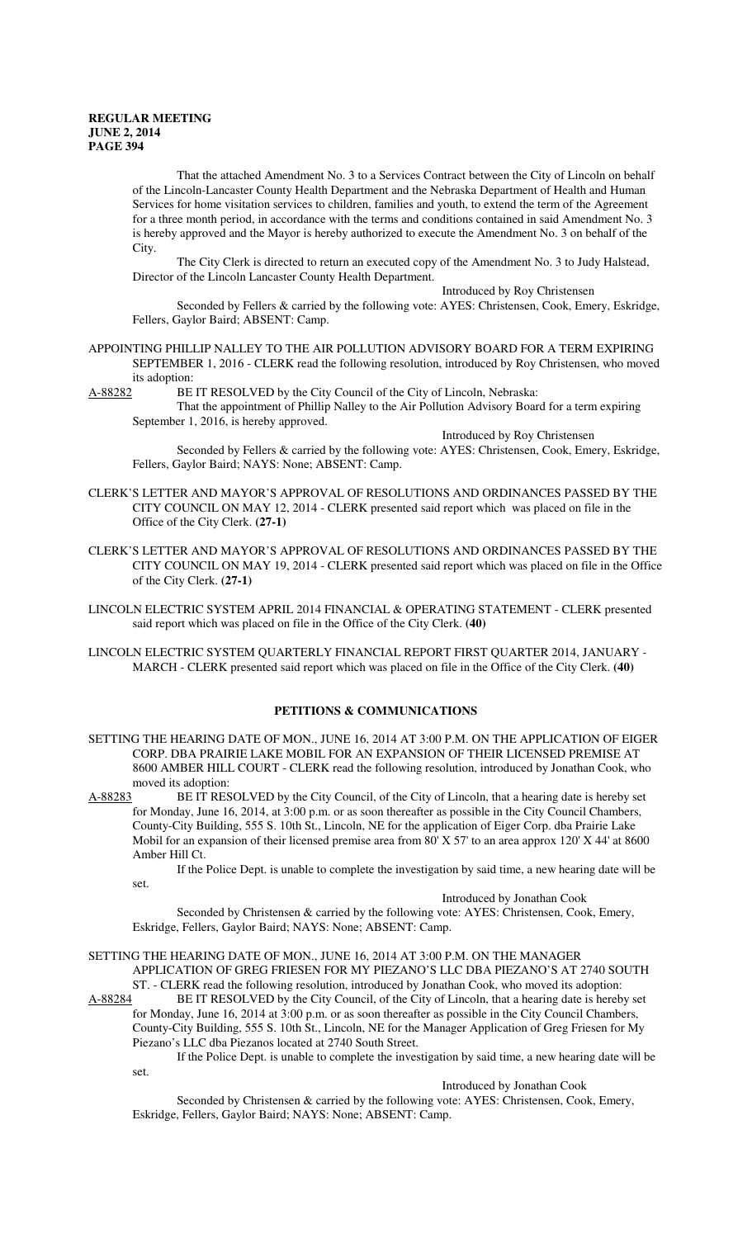set.

That the attached Amendment No. 3 to a Services Contract between the City of Lincoln on behalf of the Lincoln-Lancaster County Health Department and the Nebraska Department of Health and Human Services for home visitation services to children, families and youth, to extend the term of the Agreement for a three month period, in accordance with the terms and conditions contained in said Amendment No. 3 is hereby approved and the Mayor is hereby authorized to execute the Amendment No. 3 on behalf of the City.

The City Clerk is directed to return an executed copy of the Amendment No. 3 to Judy Halstead, Director of the Lincoln Lancaster County Health Department.

Introduced by Roy Christensen

Seconded by Fellers & carried by the following vote: AYES: Christensen, Cook, Emery, Eskridge, Fellers, Gaylor Baird; ABSENT: Camp.

# APPOINTING PHILLIP NALLEY TO THE AIR POLLUTION ADVISORY BOARD FOR A TERM EXPIRING SEPTEMBER 1, 2016 - CLERK read the following resolution, introduced by Roy Christensen, who moved its adoption:<br>A-88282 BE

BE IT RESOLVED by the City Council of the City of Lincoln, Nebraska: That the appointment of Phillip Nalley to the Air Pollution Advisory Board for a term expiring September 1, 2016, is hereby approved.

Introduced by Roy Christensen

Seconded by Fellers & carried by the following vote: AYES: Christensen, Cook, Emery, Eskridge, Fellers, Gaylor Baird; NAYS: None; ABSENT: Camp.

- CLERK'S LETTER AND MAYOR'S APPROVAL OF RESOLUTIONS AND ORDINANCES PASSED BY THE CITY COUNCIL ON MAY 12, 2014 - CLERK presented said report which was placed on file in the Office of the City Clerk. **(27-1)**
- CLERK'S LETTER AND MAYOR'S APPROVAL OF RESOLUTIONS AND ORDINANCES PASSED BY THE CITY COUNCIL ON MAY 19, 2014 - CLERK presented said report which was placed on file in the Office of the City Clerk. **(27-1)**
- LINCOLN ELECTRIC SYSTEM APRIL 2014 FINANCIAL & OPERATING STATEMENT CLERK presented said report which was placed on file in the Office of the City Clerk. **(40)**

LINCOLN ELECTRIC SYSTEM QUARTERLY FINANCIAL REPORT FIRST QUARTER 2014, JANUARY - MARCH - CLERK presented said report which was placed on file in the Office of the City Clerk. **(40)**

## **PETITIONS & COMMUNICATIONS**

SETTING THE HEARING DATE OF MON., JUNE 16, 2014 AT 3:00 P.M. ON THE APPLICATION OF EIGER CORP. DBA PRAIRIE LAKE MOBIL FOR AN EXPANSION OF THEIR LICENSED PREMISE AT 8600 AMBER HILL COURT - CLERK read the following resolution, introduced by Jonathan Cook, who moved its adoption:

A-88283 BE IT RESOLVED by the City Council, of the City of Lincoln, that a hearing date is hereby set for Monday, June 16, 2014, at 3:00 p.m. or as soon thereafter as possible in the City Council Chambers, County-City Building, 555 S. 10th St., Lincoln, NE for the application of Eiger Corp. dba Prairie Lake Mobil for an expansion of their licensed premise area from 80' X 57' to an area approx 120' X 44' at 8600 Amber Hill Ct.

If the Police Dept. is unable to complete the investigation by said time, a new hearing date will be

#### Introduced by Jonathan Cook

Seconded by Christensen & carried by the following vote: AYES: Christensen, Cook, Emery, Eskridge, Fellers, Gaylor Baird; NAYS: None; ABSENT: Camp.

SETTING THE HEARING DATE OF MON., JUNE 16, 2014 AT 3:00 P.M. ON THE MANAGER APPLICATION OF GREG FRIESEN FOR MY PIEZANO'S LLC DBA PIEZANO'S AT 2740 SOUTH

ST. - CLERK read the following resolution, introduced by Jonathan Cook, who moved its adoption:<br>A-88284 BE IT RESOLVED by the City Council, of the City of Lincoln, that a hearing date is hereb BE IT RESOLVED by the City Council, of the City of Lincoln, that a hearing date is hereby set

for Monday, June 16, 2014 at 3:00 p.m. or as soon thereafter as possible in the City Council Chambers, County-City Building, 555 S. 10th St., Lincoln, NE for the Manager Application of Greg Friesen for My Piezano's LLC dba Piezanos located at 2740 South Street.

If the Police Dept. is unable to complete the investigation by said time, a new hearing date will be set.

## Introduced by Jonathan Cook

Seconded by Christensen & carried by the following vote: AYES: Christensen, Cook, Emery, Eskridge, Fellers, Gaylor Baird; NAYS: None; ABSENT: Camp.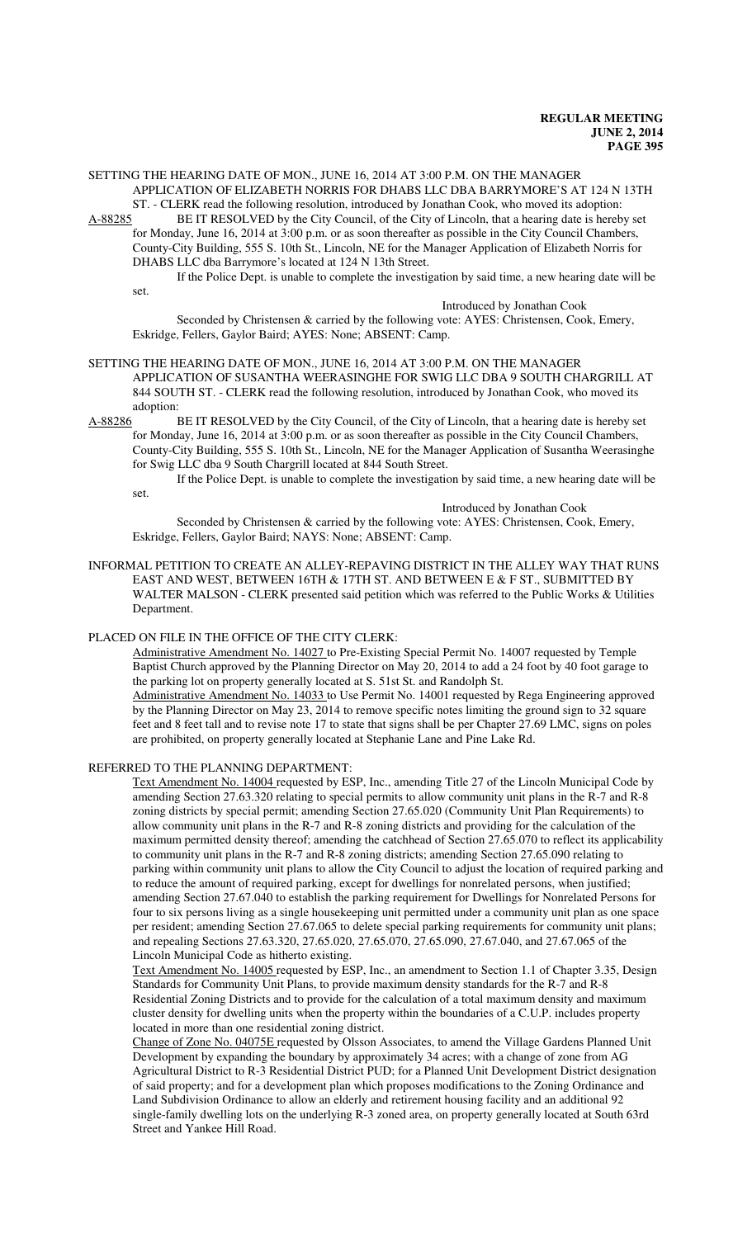SETTING THE HEARING DATE OF MON., JUNE 16, 2014 AT 3:00 P.M. ON THE MANAGER APPLICATION OF ELIZABETH NORRIS FOR DHABS LLC DBA BARRYMORE'S AT 124 N 13TH

ST. - CLERK read the following resolution, introduced by Jonathan Cook, who moved its adoption:<br>A-88285 BE IT RESOLVED by the City Council, of the City of Lincoln, that a hearing date is hereb BE IT RESOLVED by the City Council, of the City of Lincoln, that a hearing date is hereby set for Monday, June 16, 2014 at 3:00 p.m. or as soon thereafter as possible in the City Council Chambers, County-City Building, 555 S. 10th St., Lincoln, NE for the Manager Application of Elizabeth Norris for DHABS LLC dba Barrymore's located at 124 N 13th Street.

If the Police Dept. is unable to complete the investigation by said time, a new hearing date will be set.

Introduced by Jonathan Cook

Seconded by Christensen & carried by the following vote: AYES: Christensen, Cook, Emery, Eskridge, Fellers, Gaylor Baird; AYES: None; ABSENT: Camp.

#### SETTING THE HEARING DATE OF MON., JUNE 16, 2014 AT 3:00 P.M. ON THE MANAGER APPLICATION OF SUSANTHA WEERASINGHE FOR SWIG LLC DBA 9 SOUTH CHARGRILL AT 844 SOUTH ST. - CLERK read the following resolution, introduced by Jonathan Cook, who moved its adoption:

A-88286 BE IT RESOLVED by the City Council, of the City of Lincoln, that a hearing date is hereby set for Monday, June 16, 2014 at 3:00 p.m. or as soon thereafter as possible in the City Council Chambers, County-City Building, 555 S. 10th St., Lincoln, NE for the Manager Application of Susantha Weerasinghe for Swig LLC dba 9 South Chargrill located at 844 South Street.

If the Police Dept. is unable to complete the investigation by said time, a new hearing date will be set.

#### Introduced by Jonathan Cook

Seconded by Christensen & carried by the following vote: AYES: Christensen, Cook, Emery, Eskridge, Fellers, Gaylor Baird; NAYS: None; ABSENT: Camp.

INFORMAL PETITION TO CREATE AN ALLEY-REPAVING DISTRICT IN THE ALLEY WAY THAT RUNS EAST AND WEST, BETWEEN 16TH & 17TH ST. AND BETWEEN E & F ST., SUBMITTED BY WALTER MALSON - CLERK presented said petition which was referred to the Public Works & Utilities Department.

#### PLACED ON FILE IN THE OFFICE OF THE CITY CLERK:

Administrative Amendment No. 14027 to Pre-Existing Special Permit No. 14007 requested by Temple Baptist Church approved by the Planning Director on May 20, 2014 to add a 24 foot by 40 foot garage to the parking lot on property generally located at S. 51st St. and Randolph St. Administrative Amendment No. 14033 to Use Permit No. 14001 requested by Rega Engineering approved

by the Planning Director on May 23, 2014 to remove specific notes limiting the ground sign to 32 square feet and 8 feet tall and to revise note 17 to state that signs shall be per Chapter 27.69 LMC, signs on poles are prohibited, on property generally located at Stephanie Lane and Pine Lake Rd.

## REFERRED TO THE PLANNING DEPARTMENT:

Text Amendment No. 14004 requested by ESP, Inc., amending Title 27 of the Lincoln Municipal Code by amending Section 27.63.320 relating to special permits to allow community unit plans in the R-7 and R-8 zoning districts by special permit; amending Section 27.65.020 (Community Unit Plan Requirements) to allow community unit plans in the R-7 and R-8 zoning districts and providing for the calculation of the maximum permitted density thereof; amending the catchhead of Section 27.65.070 to reflect its applicability to community unit plans in the R-7 and R-8 zoning districts; amending Section 27.65.090 relating to parking within community unit plans to allow the City Council to adjust the location of required parking and to reduce the amount of required parking, except for dwellings for nonrelated persons, when justified; amending Section 27.67.040 to establish the parking requirement for Dwellings for Nonrelated Persons for four to six persons living as a single housekeeping unit permitted under a community unit plan as one space per resident; amending Section 27.67.065 to delete special parking requirements for community unit plans; and repealing Sections 27.63.320, 27.65.020, 27.65.070, 27.65.090, 27.67.040, and 27.67.065 of the Lincoln Municipal Code as hitherto existing.

Text Amendment No. 14005 requested by ESP, Inc., an amendment to Section 1.1 of Chapter 3.35, Design Standards for Community Unit Plans, to provide maximum density standards for the R-7 and R-8 Residential Zoning Districts and to provide for the calculation of a total maximum density and maximum cluster density for dwelling units when the property within the boundaries of a C.U.P. includes property located in more than one residential zoning district.

Change of Zone No. 04075E requested by Olsson Associates, to amend the Village Gardens Planned Unit Development by expanding the boundary by approximately 34 acres; with a change of zone from AG Agricultural District to R-3 Residential District PUD; for a Planned Unit Development District designation of said property; and for a development plan which proposes modifications to the Zoning Ordinance and Land Subdivision Ordinance to allow an elderly and retirement housing facility and an additional 92 single-family dwelling lots on the underlying R-3 zoned area, on property generally located at South 63rd Street and Yankee Hill Road.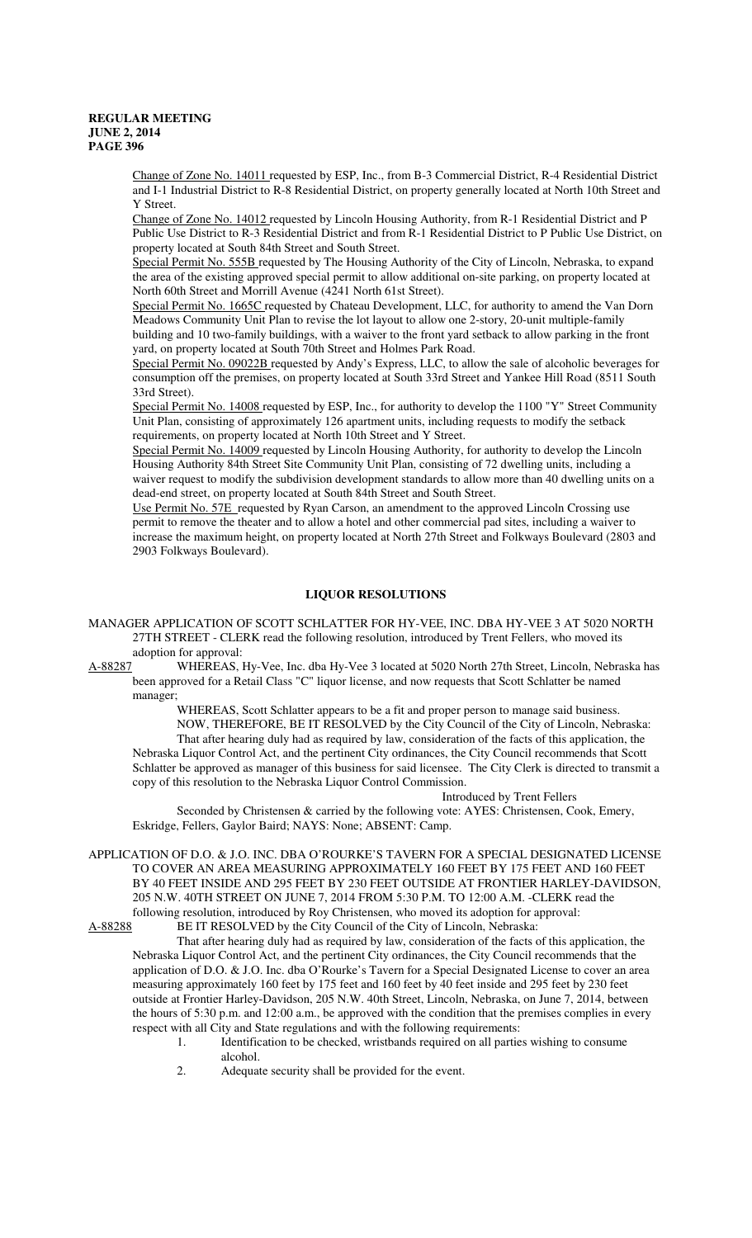Change of Zone No. 14011 requested by ESP, Inc., from B-3 Commercial District, R-4 Residential District and I-1 Industrial District to R-8 Residential District, on property generally located at North 10th Street and Y Street.

Change of Zone No. 14012 requested by Lincoln Housing Authority, from R-1 Residential District and P Public Use District to R-3 Residential District and from R-1 Residential District to P Public Use District, on property located at South 84th Street and South Street.

Special Permit No. 555B requested by The Housing Authority of the City of Lincoln, Nebraska, to expand the area of the existing approved special permit to allow additional on-site parking, on property located at North 60th Street and Morrill Avenue (4241 North 61st Street).

Special Permit No. 1665C requested by Chateau Development, LLC, for authority to amend the Van Dorn Meadows Community Unit Plan to revise the lot layout to allow one 2-story, 20-unit multiple-family building and 10 two-family buildings, with a waiver to the front yard setback to allow parking in the front yard, on property located at South 70th Street and Holmes Park Road.

Special Permit No. 09022B requested by Andy's Express, LLC, to allow the sale of alcoholic beverages for consumption off the premises, on property located at South 33rd Street and Yankee Hill Road (8511 South 33rd Street).

Special Permit No. 14008 requested by ESP, Inc., for authority to develop the 1100 "Y" Street Community Unit Plan, consisting of approximately 126 apartment units, including requests to modify the setback requirements, on property located at North 10th Street and Y Street.

Special Permit No. 14009 requested by Lincoln Housing Authority, for authority to develop the Lincoln Housing Authority 84th Street Site Community Unit Plan, consisting of 72 dwelling units, including a waiver request to modify the subdivision development standards to allow more than 40 dwelling units on a dead-end street, on property located at South 84th Street and South Street.

Use Permit No. 57E requested by Ryan Carson, an amendment to the approved Lincoln Crossing use permit to remove the theater and to allow a hotel and other commercial pad sites, including a waiver to increase the maximum height, on property located at North 27th Street and Folkways Boulevard (2803 and 2903 Folkways Boulevard).

## **LIQUOR RESOLUTIONS**

- MANAGER APPLICATION OF SCOTT SCHLATTER FOR HY-VEE, INC. DBA HY-VEE 3 AT 5020 NORTH 27TH STREET - CLERK read the following resolution, introduced by Trent Fellers, who moved its adoption for approval:
- A-88287 WHEREAS, Hy-Vee, Inc. dba Hy-Vee 3 located at 5020 North 27th Street, Lincoln, Nebraska has been approved for a Retail Class "C" liquor license, and now requests that Scott Schlatter be named manager;

WHEREAS, Scott Schlatter appears to be a fit and proper person to manage said business. NOW, THEREFORE, BE IT RESOLVED by the City Council of the City of Lincoln, Nebraska: That after hearing duly had as required by law, consideration of the facts of this application, the Nebraska Liquor Control Act, and the pertinent City ordinances, the City Council recommends that Scott Schlatter be approved as manager of this business for said licensee. The City Clerk is directed to transmit a copy of this resolution to the Nebraska Liquor Control Commission.

Introduced by Trent Fellers

Seconded by Christensen & carried by the following vote: AYES: Christensen, Cook, Emery, Eskridge, Fellers, Gaylor Baird; NAYS: None; ABSENT: Camp.

APPLICATION OF D.O. & J.O. INC. DBA O'ROURKE'S TAVERN FOR A SPECIAL DESIGNATED LICENSE TO COVER AN AREA MEASURING APPROXIMATELY 160 FEET BY 175 FEET AND 160 FEET BY 40 FEET INSIDE AND 295 FEET BY 230 FEET OUTSIDE AT FRONTIER HARLEY-DAVIDSON, 205 N.W. 40TH STREET ON JUNE 7, 2014 FROM 5:30 P.M. TO 12:00 A.M. -CLERK read the following resolution, introduced by Roy Christensen, who moved its adoption for approval:

A-88288 BE IT RESOLVED by the City Council of the City of Lincoln, Nebraska:

That after hearing duly had as required by law, consideration of the facts of this application, the Nebraska Liquor Control Act, and the pertinent City ordinances, the City Council recommends that the application of D.O. & J.O. Inc. dba O'Rourke's Tavern for a Special Designated License to cover an area measuring approximately 160 feet by 175 feet and 160 feet by 40 feet inside and 295 feet by 230 feet outside at Frontier Harley-Davidson, 205 N.W. 40th Street, Lincoln, Nebraska, on June 7, 2014, between the hours of 5:30 p.m. and 12:00 a.m., be approved with the condition that the premises complies in every respect with all City and State regulations and with the following requirements:

- 1. Identification to be checked, wristbands required on all parties wishing to consume alcohol.
- 2. Adequate security shall be provided for the event.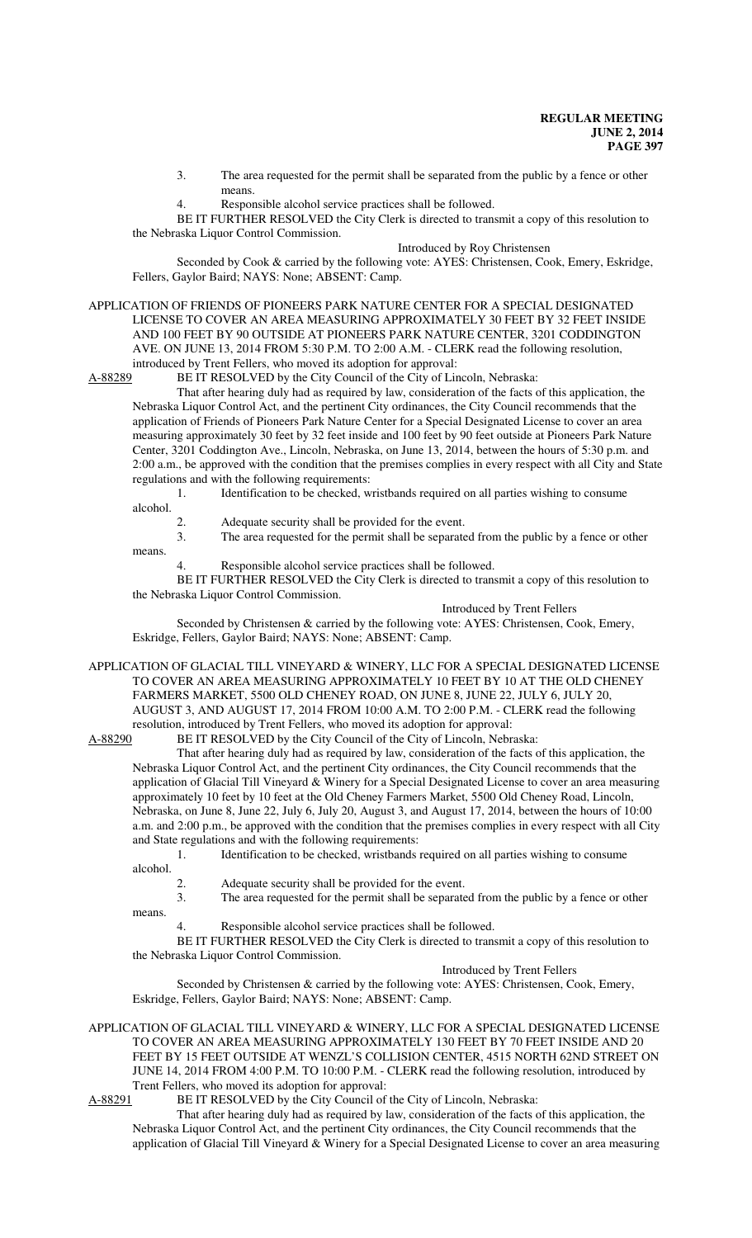3. The area requested for the permit shall be separated from the public by a fence or other means.

4. Responsible alcohol service practices shall be followed.

BE IT FURTHER RESOLVED the City Clerk is directed to transmit a copy of this resolution to the Nebraska Liquor Control Commission.

Introduced by Roy Christensen

Seconded by Cook & carried by the following vote: AYES: Christensen, Cook, Emery, Eskridge, Fellers, Gaylor Baird; NAYS: None; ABSENT: Camp.

APPLICATION OF FRIENDS OF PIONEERS PARK NATURE CENTER FOR A SPECIAL DESIGNATED LICENSE TO COVER AN AREA MEASURING APPROXIMATELY 30 FEET BY 32 FEET INSIDE AND 100 FEET BY 90 OUTSIDE AT PIONEERS PARK NATURE CENTER, 3201 CODDINGTON AVE. ON JUNE 13, 2014 FROM 5:30 P.M. TO 2:00 A.M. - CLERK read the following resolution, introduced by Trent Fellers, who moved its adoption for approval:

A-88289 BE IT RESOLVED by the City Council of the City of Lincoln, Nebraska:

That after hearing duly had as required by law, consideration of the facts of this application, the Nebraska Liquor Control Act, and the pertinent City ordinances, the City Council recommends that the application of Friends of Pioneers Park Nature Center for a Special Designated License to cover an area measuring approximately 30 feet by 32 feet inside and 100 feet by 90 feet outside at Pioneers Park Nature Center, 3201 Coddington Ave., Lincoln, Nebraska, on June 13, 2014, between the hours of 5:30 p.m. and 2:00 a.m., be approved with the condition that the premises complies in every respect with all City and State regulations and with the following requirements:

1. Identification to be checked, wristbands required on all parties wishing to consume

- alcohol.
	-
- 2. Adequate security shall be provided for the event. 3. The area requested for the permit shall be separated from the public by a fence or other
- means.

4. Responsible alcohol service practices shall be followed.

BE IT FURTHER RESOLVED the City Clerk is directed to transmit a copy of this resolution to the Nebraska Liquor Control Commission.

Introduced by Trent Fellers Seconded by Christensen & carried by the following vote: AYES: Christensen, Cook, Emery, Eskridge, Fellers, Gaylor Baird; NAYS: None; ABSENT: Camp.

APPLICATION OF GLACIAL TILL VINEYARD & WINERY, LLC FOR A SPECIAL DESIGNATED LICENSE TO COVER AN AREA MEASURING APPROXIMATELY 10 FEET BY 10 AT THE OLD CHENEY FARMERS MARKET, 5500 OLD CHENEY ROAD, ON JUNE 8, JUNE 22, JULY 6, JULY 20, AUGUST 3, AND AUGUST 17, 2014 FROM 10:00 A.M. TO 2:00 P.M. - CLERK read the following resolution, introduced by Trent Fellers, who moved its adoption for approval:

A-88290 BE IT RESOLVED by the City Council of the City of Lincoln, Nebraska:

That after hearing duly had as required by law, consideration of the facts of this application, the Nebraska Liquor Control Act, and the pertinent City ordinances, the City Council recommends that the application of Glacial Till Vineyard & Winery for a Special Designated License to cover an area measuring approximately 10 feet by 10 feet at the Old Cheney Farmers Market, 5500 Old Cheney Road, Lincoln, Nebraska, on June 8, June 22, July 6, July 20, August 3, and August 17, 2014, between the hours of 10:00 a.m. and 2:00 p.m., be approved with the condition that the premises complies in every respect with all City and State regulations and with the following requirements:

1. Identification to be checked, wristbands required on all parties wishing to consume alcohol.

- 2. Adequate security shall be provided for the event.
- 3. The area requested for the permit shall be separated from the public by a fence or other

means.

4. Responsible alcohol service practices shall be followed.

BE IT FURTHER RESOLVED the City Clerk is directed to transmit a copy of this resolution to the Nebraska Liquor Control Commission.

Introduced by Trent Fellers

Seconded by Christensen & carried by the following vote: AYES: Christensen, Cook, Emery, Eskridge, Fellers, Gaylor Baird; NAYS: None; ABSENT: Camp.

APPLICATION OF GLACIAL TILL VINEYARD & WINERY, LLC FOR A SPECIAL DESIGNATED LICENSE TO COVER AN AREA MEASURING APPROXIMATELY 130 FEET BY 70 FEET INSIDE AND 20 FEET BY 15 FEET OUTSIDE AT WENZL'S COLLISION CENTER, 4515 NORTH 62ND STREET ON JUNE 14, 2014 FROM 4:00 P.M. TO 10:00 P.M. - CLERK read the following resolution, introduced by Trent Fellers, who moved its adoption for approval:

A-88291 BE IT RESOLVED by the City Council of the City of Lincoln, Nebraska:

That after hearing duly had as required by law, consideration of the facts of this application, the Nebraska Liquor Control Act, and the pertinent City ordinances, the City Council recommends that the application of Glacial Till Vineyard & Winery for a Special Designated License to cover an area measuring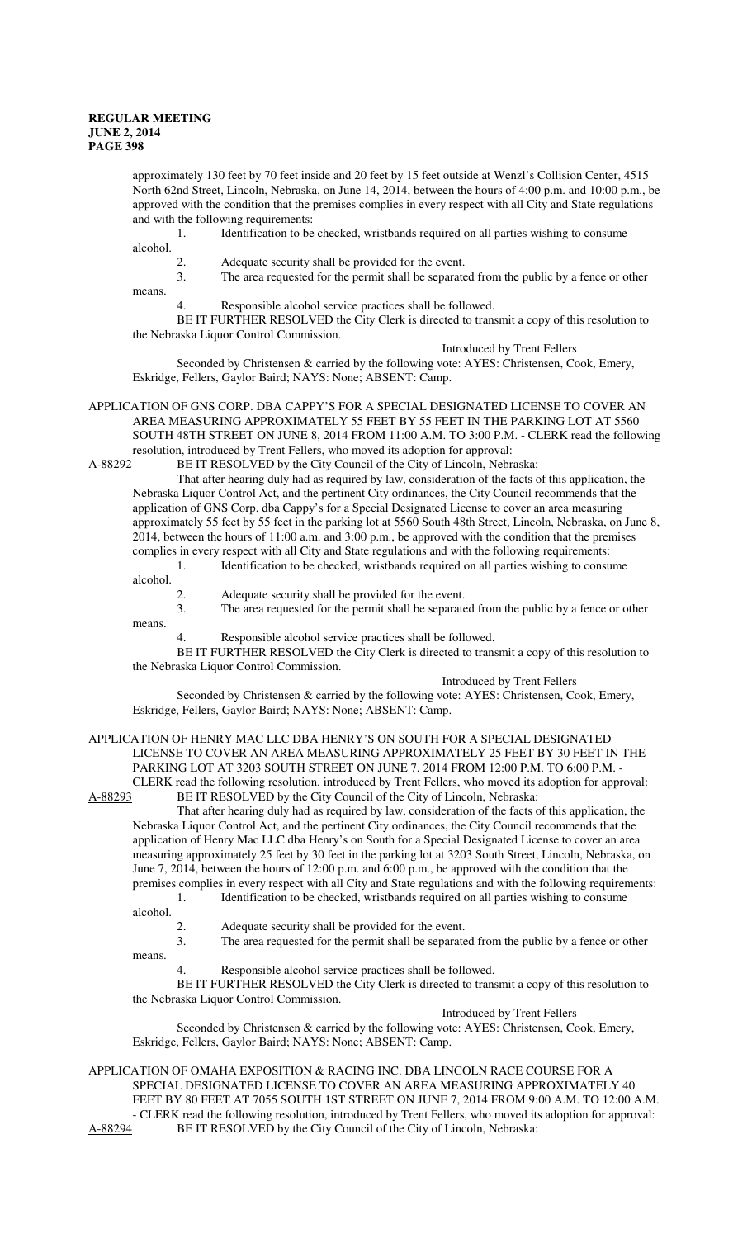approximately 130 feet by 70 feet inside and 20 feet by 15 feet outside at Wenzl's Collision Center, 4515 North 62nd Street, Lincoln, Nebraska, on June 14, 2014, between the hours of 4:00 p.m. and 10:00 p.m., be approved with the condition that the premises complies in every respect with all City and State regulations and with the following requirements:

1. Identification to be checked, wristbands required on all parties wishing to consume alcohol.

2. Adequate security shall be provided for the event.

3. The area requested for the permit shall be separated from the public by a fence or other

means.

4. Responsible alcohol service practices shall be followed.

BE IT FURTHER RESOLVED the City Clerk is directed to transmit a copy of this resolution to the Nebraska Liquor Control Commission.

Introduced by Trent Fellers

Seconded by Christensen & carried by the following vote: AYES: Christensen, Cook, Emery, Eskridge, Fellers, Gaylor Baird; NAYS: None; ABSENT: Camp.

APPLICATION OF GNS CORP. DBA CAPPY'S FOR A SPECIAL DESIGNATED LICENSE TO COVER AN AREA MEASURING APPROXIMATELY 55 FEET BY 55 FEET IN THE PARKING LOT AT 5560 SOUTH 48TH STREET ON JUNE 8, 2014 FROM 11:00 A.M. TO 3:00 P.M. - CLERK read the following resolution, introduced by Trent Fellers, who moved its adoption for approval:

A-88292 BE IT RESOLVED by the City Council of the City of Lincoln, Nebraska:

That after hearing duly had as required by law, consideration of the facts of this application, the Nebraska Liquor Control Act, and the pertinent City ordinances, the City Council recommends that the application of GNS Corp. dba Cappy's for a Special Designated License to cover an area measuring approximately 55 feet by 55 feet in the parking lot at 5560 South 48th Street, Lincoln, Nebraska, on June 8, 2014, between the hours of 11:00 a.m. and 3:00 p.m., be approved with the condition that the premises complies in every respect with all City and State regulations and with the following requirements: 1. Identification to be checked, wristbands required on all parties wishing to consume

alcohol.

- 
- 2. Adequate security shall be provided for the event.<br>3. The area requested for the permit shall be separate The area requested for the permit shall be separated from the public by a fence or other

means.

4. Responsible alcohol service practices shall be followed.

BE IT FURTHER RESOLVED the City Clerk is directed to transmit a copy of this resolution to the Nebraska Liquor Control Commission.

Introduced by Trent Fellers

Seconded by Christensen & carried by the following vote: AYES: Christensen, Cook, Emery, Eskridge, Fellers, Gaylor Baird; NAYS: None; ABSENT: Camp.

APPLICATION OF HENRY MAC LLC DBA HENRY'S ON SOUTH FOR A SPECIAL DESIGNATED LICENSE TO COVER AN AREA MEASURING APPROXIMATELY 25 FEET BY 30 FEET IN THE PARKING LOT AT 3203 SOUTH STREET ON JUNE 7, 2014 FROM 12:00 P.M. TO 6:00 P.M. -

CLERK read the following resolution, introduced by Trent Fellers, who moved its adoption for approval:<br>A-88293 BE IT RESOLVED by the City Council of the City of Lincoln, Nebraska: BE IT RESOLVED by the City Council of the City of Lincoln, Nebraska:

That after hearing duly had as required by law, consideration of the facts of this application, the Nebraska Liquor Control Act, and the pertinent City ordinances, the City Council recommends that the application of Henry Mac LLC dba Henry's on South for a Special Designated License to cover an area measuring approximately 25 feet by 30 feet in the parking lot at 3203 South Street, Lincoln, Nebraska, on June 7, 2014, between the hours of 12:00 p.m. and 6:00 p.m., be approved with the condition that the premises complies in every respect with all City and State regulations and with the following requirements:

1. Identification to be checked, wristbands required on all parties wishing to consume alcohol.

means.

2. Adequate security shall be provided for the event.<br>3. The area requested for the permit shall be separate

The area requested for the permit shall be separated from the public by a fence or other

4. Responsible alcohol service practices shall be followed.

BE IT FURTHER RESOLVED the City Clerk is directed to transmit a copy of this resolution to the Nebraska Liquor Control Commission.

Introduced by Trent Fellers

Seconded by Christensen & carried by the following vote: AYES: Christensen, Cook, Emery, Eskridge, Fellers, Gaylor Baird; NAYS: None; ABSENT: Camp.

APPLICATION OF OMAHA EXPOSITION & RACING INC. DBA LINCOLN RACE COURSE FOR A SPECIAL DESIGNATED LICENSE TO COVER AN AREA MEASURING APPROXIMATELY 40 FEET BY 80 FEET AT 7055 SOUTH 1ST STREET ON JUNE 7, 2014 FROM 9:00 A.M. TO 12:00 A.M. - CLERK read the following resolution, introduced by Trent Fellers, who moved its adoption for approval: A-88294 BE IT RESOLVED by the City Council of the City of Lincoln, Nebraska: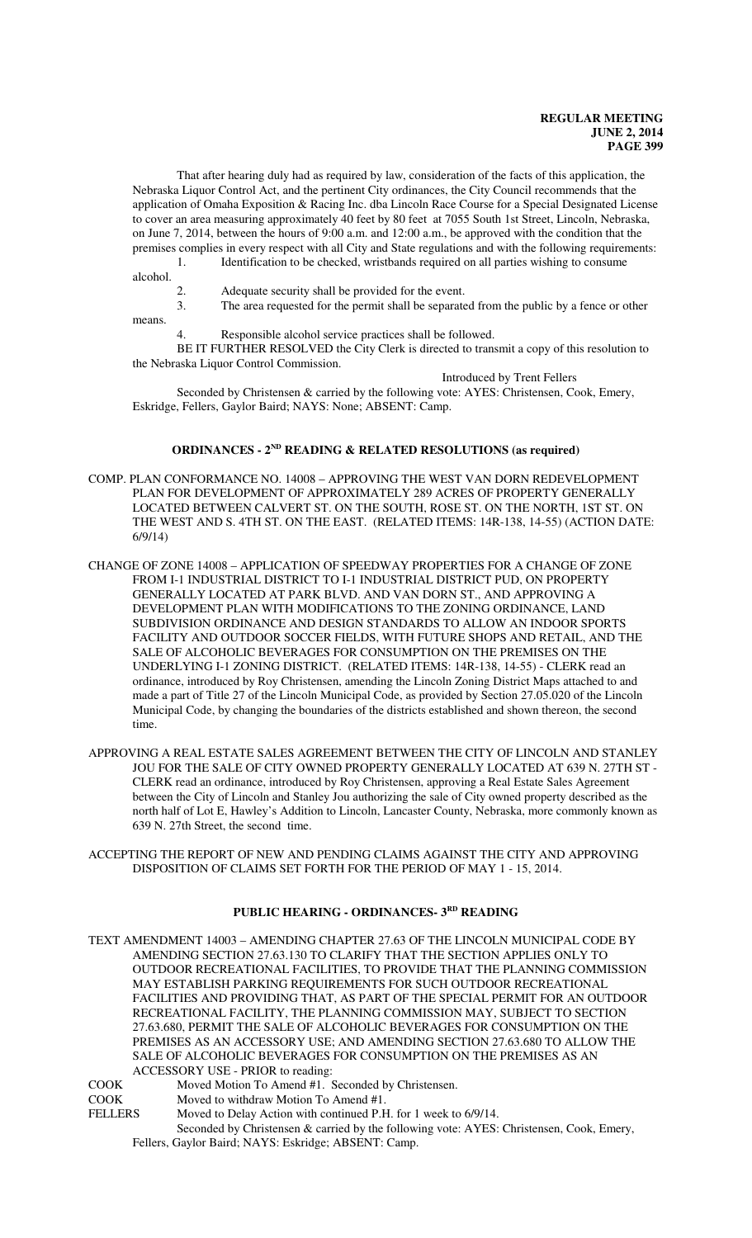That after hearing duly had as required by law, consideration of the facts of this application, the Nebraska Liquor Control Act, and the pertinent City ordinances, the City Council recommends that the application of Omaha Exposition & Racing Inc. dba Lincoln Race Course for a Special Designated License to cover an area measuring approximately 40 feet by 80 feet at 7055 South 1st Street, Lincoln, Nebraska, on June 7, 2014, between the hours of 9:00 a.m. and 12:00 a.m., be approved with the condition that the premises complies in every respect with all City and State regulations and with the following requirements: 1. Identification to be checked, wristbands required on all parties wishing to consume

alcohol.

2. Adequate security shall be provided for the event.

3. The area requested for the permit shall be separated from the public by a fence or other means.

Responsible alcohol service practices shall be followed.

BE IT FURTHER RESOLVED the City Clerk is directed to transmit a copy of this resolution to the Nebraska Liquor Control Commission.

Introduced by Trent Fellers Seconded by Christensen & carried by the following vote: AYES: Christensen, Cook, Emery, Eskridge, Fellers, Gaylor Baird; NAYS: None; ABSENT: Camp.

## **ORDINANCES - 2ND READING & RELATED RESOLUTIONS (as required)**

- COMP. PLAN CONFORMANCE NO. 14008 APPROVING THE WEST VAN DORN REDEVELOPMENT PLAN FOR DEVELOPMENT OF APPROXIMATELY 289 ACRES OF PROPERTY GENERALLY LOCATED BETWEEN CALVERT ST. ON THE SOUTH, ROSE ST. ON THE NORTH, 1ST ST. ON THE WEST AND S. 4TH ST. ON THE EAST. (RELATED ITEMS: 14R-138, 14-55) (ACTION DATE: 6/9/14)
- CHANGE OF ZONE 14008 APPLICATION OF SPEEDWAY PROPERTIES FOR A CHANGE OF ZONE FROM I-1 INDUSTRIAL DISTRICT TO I-1 INDUSTRIAL DISTRICT PUD, ON PROPERTY GENERALLY LOCATED AT PARK BLVD. AND VAN DORN ST., AND APPROVING A DEVELOPMENT PLAN WITH MODIFICATIONS TO THE ZONING ORDINANCE, LAND SUBDIVISION ORDINANCE AND DESIGN STANDARDS TO ALLOW AN INDOOR SPORTS FACILITY AND OUTDOOR SOCCER FIELDS, WITH FUTURE SHOPS AND RETAIL, AND THE SALE OF ALCOHOLIC BEVERAGES FOR CONSUMPTION ON THE PREMISES ON THE UNDERLYING I-1 ZONING DISTRICT. (RELATED ITEMS: 14R-138, 14-55) - CLERK read an ordinance, introduced by Roy Christensen, amending the Lincoln Zoning District Maps attached to and made a part of Title 27 of the Lincoln Municipal Code, as provided by Section 27.05.020 of the Lincoln Municipal Code, by changing the boundaries of the districts established and shown thereon, the second time.
- APPROVING A REAL ESTATE SALES AGREEMENT BETWEEN THE CITY OF LINCOLN AND STANLEY JOU FOR THE SALE OF CITY OWNED PROPERTY GENERALLY LOCATED AT 639 N. 27TH ST - CLERK read an ordinance, introduced by Roy Christensen, approving a Real Estate Sales Agreement between the City of Lincoln and Stanley Jou authorizing the sale of City owned property described as the north half of Lot E, Hawley's Addition to Lincoln, Lancaster County, Nebraska, more commonly known as 639 N. 27th Street, the second time.
- ACCEPTING THE REPORT OF NEW AND PENDING CLAIMS AGAINST THE CITY AND APPROVING DISPOSITION OF CLAIMS SET FORTH FOR THE PERIOD OF MAY 1 - 15, 2014.

## **PUBLIC HEARING - ORDINANCES- 3RD READING**

TEXT AMENDMENT 14003 – AMENDING CHAPTER 27.63 OF THE LINCOLN MUNICIPAL CODE BY AMENDING SECTION 27.63.130 TO CLARIFY THAT THE SECTION APPLIES ONLY TO OUTDOOR RECREATIONAL FACILITIES, TO PROVIDE THAT THE PLANNING COMMISSION MAY ESTABLISH PARKING REQUIREMENTS FOR SUCH OUTDOOR RECREATIONAL FACILITIES AND PROVIDING THAT, AS PART OF THE SPECIAL PERMIT FOR AN OUTDOOR RECREATIONAL FACILITY, THE PLANNING COMMISSION MAY, SUBJECT TO SECTION 27.63.680, PERMIT THE SALE OF ALCOHOLIC BEVERAGES FOR CONSUMPTION ON THE PREMISES AS AN ACCESSORY USE; AND AMENDING SECTION 27.63.680 TO ALLOW THE SALE OF ALCOHOLIC BEVERAGES FOR CONSUMPTION ON THE PREMISES AS AN ACCESSORY USE - PRIOR to reading:

- COOK Moved Motion To Amend #1. Seconded by Christensen.<br>COOK Moved to withdraw Motion To Amend #1.
- Moved to withdraw Motion To Amend #1.
- FELLERS Moved to Delay Action with continued P.H. for 1 week to 6/9/14.

Seconded by Christensen & carried by the following vote: AYES: Christensen, Cook, Emery, Fellers, Gaylor Baird; NAYS: Eskridge; ABSENT: Camp.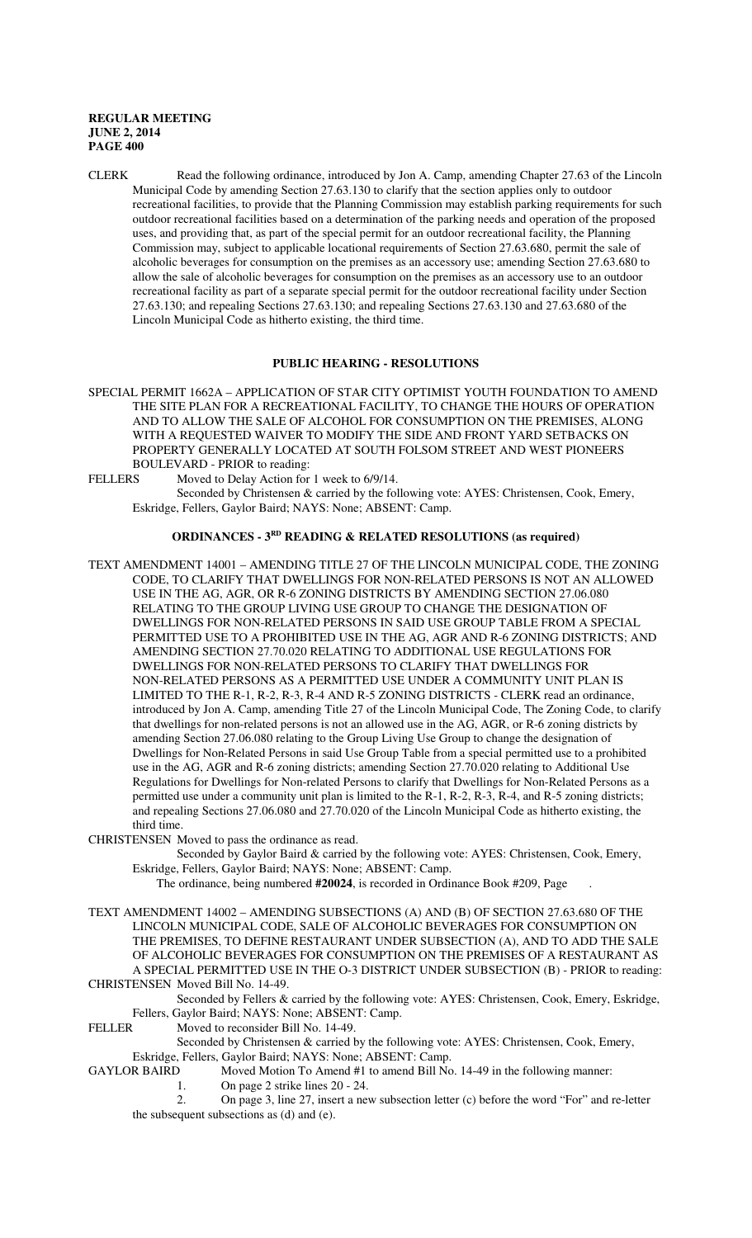CLERK Read the following ordinance, introduced by Jon A. Camp, amending Chapter 27.63 of the Lincoln Municipal Code by amending Section 27.63.130 to clarify that the section applies only to outdoor recreational facilities, to provide that the Planning Commission may establish parking requirements for such outdoor recreational facilities based on a determination of the parking needs and operation of the proposed uses, and providing that, as part of the special permit for an outdoor recreational facility, the Planning Commission may, subject to applicable locational requirements of Section 27.63.680, permit the sale of alcoholic beverages for consumption on the premises as an accessory use; amending Section 27.63.680 to allow the sale of alcoholic beverages for consumption on the premises as an accessory use to an outdoor recreational facility as part of a separate special permit for the outdoor recreational facility under Section 27.63.130; and repealing Sections 27.63.130; and repealing Sections 27.63.130 and 27.63.680 of the Lincoln Municipal Code as hitherto existing, the third time.

#### **PUBLIC HEARING - RESOLUTIONS**

- SPECIAL PERMIT 1662A APPLICATION OF STAR CITY OPTIMIST YOUTH FOUNDATION TO AMEND THE SITE PLAN FOR A RECREATIONAL FACILITY, TO CHANGE THE HOURS OF OPERATION AND TO ALLOW THE SALE OF ALCOHOL FOR CONSUMPTION ON THE PREMISES, ALONG WITH A REQUESTED WAIVER TO MODIFY THE SIDE AND FRONT YARD SETBACKS ON PROPERTY GENERALLY LOCATED AT SOUTH FOLSOM STREET AND WEST PIONEERS BOULEVARD - PRIOR to reading:<br>FELLERS Moved to Delay Action for
- Moved to Delay Action for 1 week to 6/9/14. Seconded by Christensen & carried by the following vote: AYES: Christensen, Cook, Emery, Eskridge, Fellers, Gaylor Baird; NAYS: None; ABSENT: Camp.

#### **ORDINANCES - 3<sup>RD</sup>** READING & RELATED RESOLUTIONS (as required)

TEXT AMENDMENT 14001 – AMENDING TITLE 27 OF THE LINCOLN MUNICIPAL CODE, THE ZONING CODE, TO CLARIFY THAT DWELLINGS FOR NON-RELATED PERSONS IS NOT AN ALLOWED USE IN THE AG, AGR, OR R-6 ZONING DISTRICTS BY AMENDING SECTION 27.06.080 RELATING TO THE GROUP LIVING USE GROUP TO CHANGE THE DESIGNATION OF DWELLINGS FOR NON-RELATED PERSONS IN SAID USE GROUP TABLE FROM A SPECIAL PERMITTED USE TO A PROHIBITED USE IN THE AG, AGR AND R-6 ZONING DISTRICTS; AND AMENDING SECTION 27.70.020 RELATING TO ADDITIONAL USE REGULATIONS FOR DWELLINGS FOR NON-RELATED PERSONS TO CLARIFY THAT DWELLINGS FOR NON-RELATED PERSONS AS A PERMITTED USE UNDER A COMMUNITY UNIT PLAN IS LIMITED TO THE R-1, R-2, R-3, R-4 AND R-5 ZONING DISTRICTS - CLERK read an ordinance, introduced by Jon A. Camp, amending Title 27 of the Lincoln Municipal Code, The Zoning Code, to clarify that dwellings for non-related persons is not an allowed use in the AG, AGR, or R-6 zoning districts by amending Section 27.06.080 relating to the Group Living Use Group to change the designation of Dwellings for Non-Related Persons in said Use Group Table from a special permitted use to a prohibited use in the AG, AGR and R-6 zoning districts; amending Section 27.70.020 relating to Additional Use Regulations for Dwellings for Non-related Persons to clarify that Dwellings for Non-Related Persons as a permitted use under a community unit plan is limited to the R-1, R-2, R-3, R-4, and R-5 zoning districts; and repealing Sections 27.06.080 and 27.70.020 of the Lincoln Municipal Code as hitherto existing, the third time.

CHRISTENSEN Moved to pass the ordinance as read.

Seconded by Gaylor Baird & carried by the following vote: AYES: Christensen, Cook, Emery, Eskridge, Fellers, Gaylor Baird; NAYS: None; ABSENT: Camp.

The ordinance, being numbered **#20024**, is recorded in Ordinance Book #209, Page .

TEXT AMENDMENT 14002 – AMENDING SUBSECTIONS (A) AND (B) OF SECTION 27.63.680 OF THE LINCOLN MUNICIPAL CODE, SALE OF ALCOHOLIC BEVERAGES FOR CONSUMPTION ON THE PREMISES, TO DEFINE RESTAURANT UNDER SUBSECTION (A), AND TO ADD THE SALE OF ALCOHOLIC BEVERAGES FOR CONSUMPTION ON THE PREMISES OF A RESTAURANT AS A SPECIAL PERMITTED USE IN THE O-3 DISTRICT UNDER SUBSECTION (B) - PRIOR to reading: CHRISTENSEN Moved Bill No. 14-49.

Seconded by Fellers & carried by the following vote: AYES: Christensen, Cook, Emery, Eskridge, Fellers, Gaylor Baird; NAYS: None; ABSENT: Camp.

FELLER Moved to reconsider Bill No. 14-49.

Seconded by Christensen & carried by the following vote: AYES: Christensen, Cook, Emery, Eskridge, Fellers, Gaylor Baird; NAYS: None; ABSENT: Camp.

GAYLOR BAIRD Moved Motion To Amend #1 to amend Bill No. 14-49 in the following manner:

1. On page 2 strike lines 20 - 24.

2. On page 3, line 27, insert a new subsection letter (c) before the word "For" and re-letter the subsequent subsections as (d) and (e).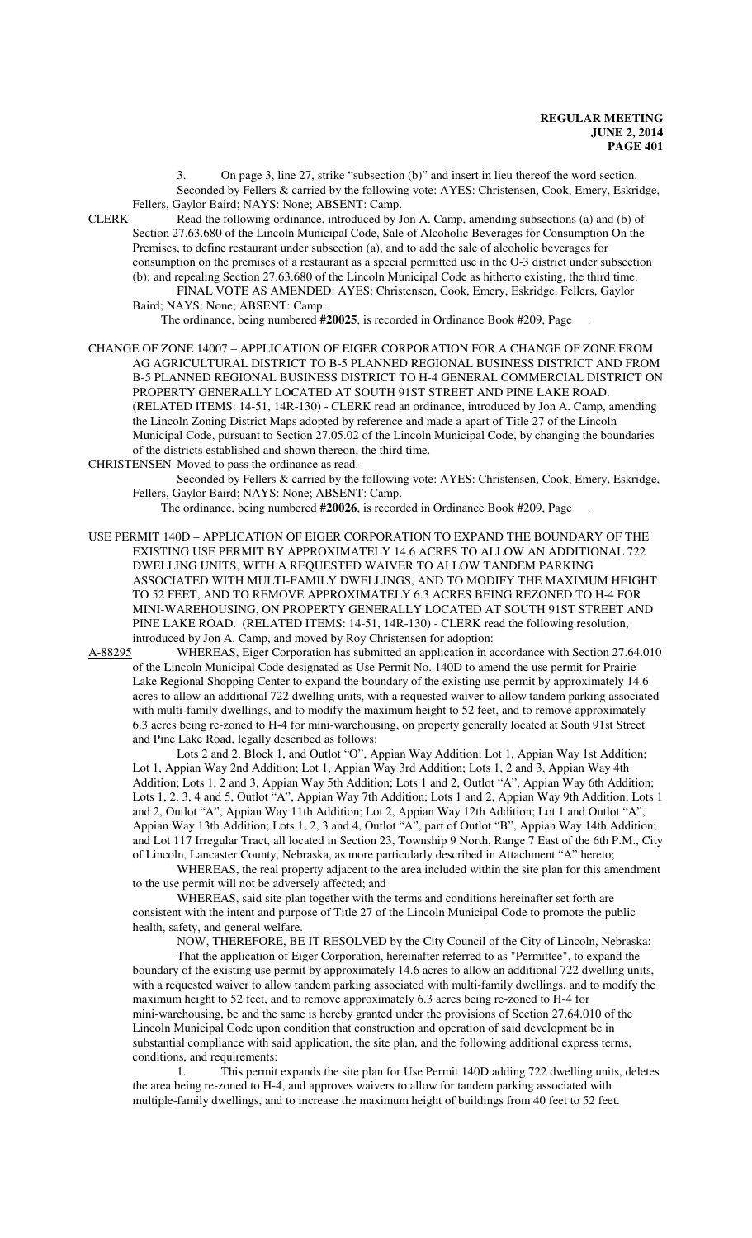3. On page 3, line 27, strike "subsection (b)" and insert in lieu thereof the word section. Seconded by Fellers & carried by the following vote: AYES: Christensen, Cook, Emery, Eskridge, Fellers, Gaylor Baird; NAYS: None; ABSENT: Camp.

CLERK Read the following ordinance, introduced by Jon A. Camp, amending subsections (a) and (b) of Section 27.63.680 of the Lincoln Municipal Code, Sale of Alcoholic Beverages for Consumption On the Premises, to define restaurant under subsection (a), and to add the sale of alcoholic beverages for consumption on the premises of a restaurant as a special permitted use in the O-3 district under subsection (b); and repealing Section 27.63.680 of the Lincoln Municipal Code as hitherto existing, the third time. FINAL VOTE AS AMENDED: AYES: Christensen, Cook, Emery, Eskridge, Fellers, Gaylor Baird; NAYS: None; ABSENT: Camp.

The ordinance, being numbered **#20025**, is recorded in Ordinance Book #209, Page .

CHANGE OF ZONE 14007 – APPLICATION OF EIGER CORPORATION FOR A CHANGE OF ZONE FROM AG AGRICULTURAL DISTRICT TO B-5 PLANNED REGIONAL BUSINESS DISTRICT AND FROM B-5 PLANNED REGIONAL BUSINESS DISTRICT TO H-4 GENERAL COMMERCIAL DISTRICT ON PROPERTY GENERALLY LOCATED AT SOUTH 91ST STREET AND PINE LAKE ROAD. (RELATED ITEMS: 14-51, 14R-130) - CLERK read an ordinance, introduced by Jon A. Camp, amending the Lincoln Zoning District Maps adopted by reference and made a apart of Title 27 of the Lincoln Municipal Code, pursuant to Section 27.05.02 of the Lincoln Municipal Code, by changing the boundaries of the districts established and shown thereon, the third time.

CHRISTENSEN Moved to pass the ordinance as read.

Seconded by Fellers & carried by the following vote: AYES: Christensen, Cook, Emery, Eskridge, Fellers, Gaylor Baird; NAYS: None; ABSENT: Camp.

The ordinance, being numbered **#20026**, is recorded in Ordinance Book #209, Page .

USE PERMIT 140D – APPLICATION OF EIGER CORPORATION TO EXPAND THE BOUNDARY OF THE EXISTING USE PERMIT BY APPROXIMATELY 14.6 ACRES TO ALLOW AN ADDITIONAL 722 DWELLING UNITS, WITH A REQUESTED WAIVER TO ALLOW TANDEM PARKING ASSOCIATED WITH MULTI-FAMILY DWELLINGS, AND TO MODIFY THE MAXIMUM HEIGHT TO 52 FEET, AND TO REMOVE APPROXIMATELY 6.3 ACRES BEING REZONED TO H-4 FOR MINI-WAREHOUSING, ON PROPERTY GENERALLY LOCATED AT SOUTH 91ST STREET AND PINE LAKE ROAD. (RELATED ITEMS: 14-51, 14R-130) - CLERK read the following resolution, introduced by Jon A. Camp, and moved by Roy Christensen for adoption:

A-88295 WHEREAS, Eiger Corporation has submitted an application in accordance with Section 27.64.010 of the Lincoln Municipal Code designated as Use Permit No. 140D to amend the use permit for Prairie Lake Regional Shopping Center to expand the boundary of the existing use permit by approximately 14.6 acres to allow an additional 722 dwelling units, with a requested waiver to allow tandem parking associated with multi-family dwellings, and to modify the maximum height to 52 feet, and to remove approximately 6.3 acres being re-zoned to H-4 for mini-warehousing, on property generally located at South 91st Street and Pine Lake Road, legally described as follows:

Lots 2 and 2, Block 1, and Outlot "O", Appian Way Addition; Lot 1, Appian Way 1st Addition; Lot 1, Appian Way 2nd Addition; Lot 1, Appian Way 3rd Addition; Lots 1, 2 and 3, Appian Way 4th Addition; Lots 1, 2 and 3, Appian Way 5th Addition; Lots 1 and 2, Outlot "A", Appian Way 6th Addition; Lots 1, 2, 3, 4 and 5, Outlot "A", Appian Way 7th Addition; Lots 1 and 2, Appian Way 9th Addition; Lots 1 and 2, Outlot "A", Appian Way 11th Addition; Lot 2, Appian Way 12th Addition; Lot 1 and Outlot "A", Appian Way 13th Addition; Lots 1, 2, 3 and 4, Outlot "A", part of Outlot "B", Appian Way 14th Addition; and Lot 117 Irregular Tract, all located in Section 23, Township 9 North, Range 7 East of the 6th P.M., City of Lincoln, Lancaster County, Nebraska, as more particularly described in Attachment "A" hereto;

WHEREAS, the real property adjacent to the area included within the site plan for this amendment to the use permit will not be adversely affected; and

WHEREAS, said site plan together with the terms and conditions hereinafter set forth are consistent with the intent and purpose of Title 27 of the Lincoln Municipal Code to promote the public health, safety, and general welfare.

NOW, THEREFORE, BE IT RESOLVED by the City Council of the City of Lincoln, Nebraska: That the application of Eiger Corporation, hereinafter referred to as "Permittee", to expand the boundary of the existing use permit by approximately 14.6 acres to allow an additional 722 dwelling units, with a requested waiver to allow tandem parking associated with multi-family dwellings, and to modify the maximum height to 52 feet, and to remove approximately 6.3 acres being re-zoned to H-4 for mini-warehousing, be and the same is hereby granted under the provisions of Section 27.64.010 of the Lincoln Municipal Code upon condition that construction and operation of said development be in substantial compliance with said application, the site plan, and the following additional express terms, conditions, and requirements:

1. This permit expands the site plan for Use Permit 140D adding 722 dwelling units, deletes the area being re-zoned to H-4, and approves waivers to allow for tandem parking associated with multiple-family dwellings, and to increase the maximum height of buildings from 40 feet to 52 feet.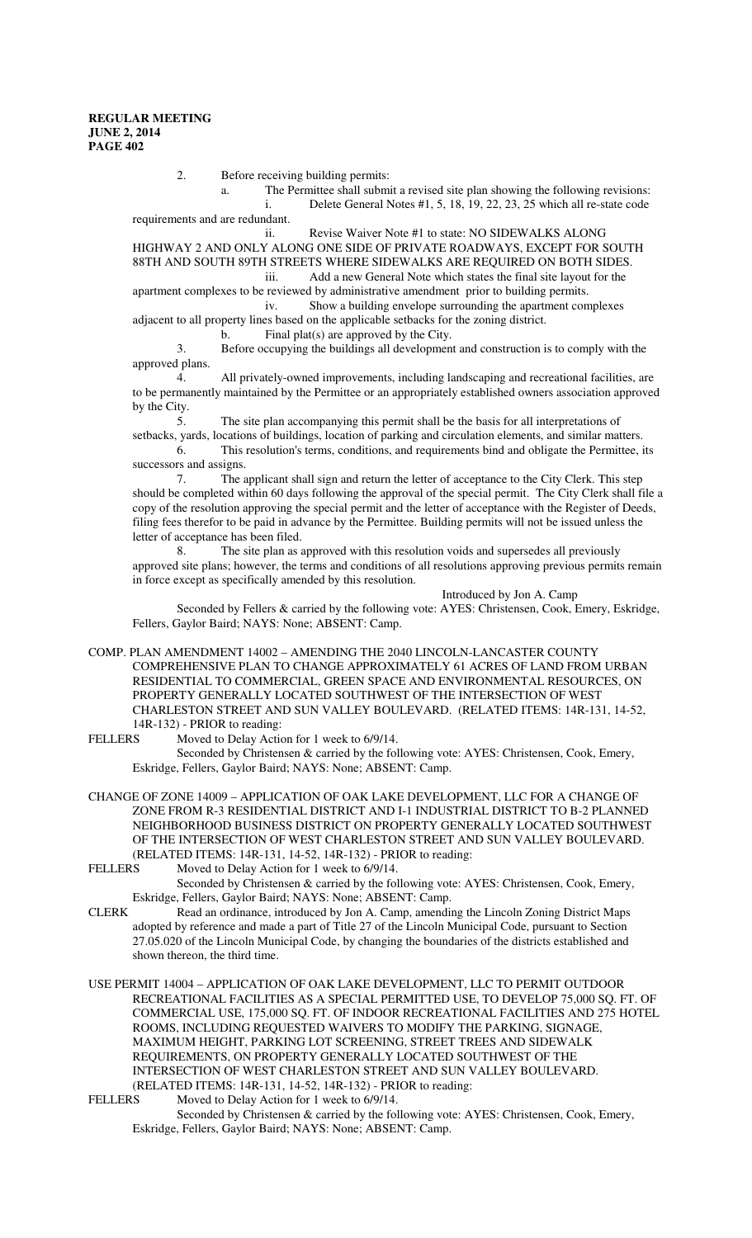2. Before receiving building permits:

a. The Permittee shall submit a revised site plan showing the following revisions: i. Delete General Notes  $#1, 5, 18, 19, 22, 23, 25$  which all re-state code requirements and are redundant.

ii. Revise Waiver Note #1 to state: NO SIDEWALKS ALONG HIGHWAY 2 AND ONLY ALONG ONE SIDE OF PRIVATE ROADWAYS, EXCEPT FOR SOUTH 88TH AND SOUTH 89TH STREETS WHERE SIDEWALKS ARE REQUIRED ON BOTH SIDES. iii. Add a new General Note which states the final site layout for the

apartment complexes to be reviewed by administrative amendment prior to building permits. iv. Show a building envelope surrounding the apartment complexes

adjacent to all property lines based on the applicable setbacks for the zoning district.

b. Final plat(s) are approved by the City.

3. Before occupying the buildings all development and construction is to comply with the approved plans.

4. All privately-owned improvements, including landscaping and recreational facilities, are to be permanently maintained by the Permittee or an appropriately established owners association approved by the City.

5. The site plan accompanying this permit shall be the basis for all interpretations of setbacks, yards, locations of buildings, location of parking and circulation elements, and similar matters.

6. This resolution's terms, conditions, and requirements bind and obligate the Permittee, its successors and assigns.

7. The applicant shall sign and return the letter of acceptance to the City Clerk. This step should be completed within 60 days following the approval of the special permit. The City Clerk shall file a copy of the resolution approving the special permit and the letter of acceptance with the Register of Deeds, filing fees therefor to be paid in advance by the Permittee. Building permits will not be issued unless the letter of acceptance has been filed.

8. The site plan as approved with this resolution voids and supersedes all previously approved site plans; however, the terms and conditions of all resolutions approving previous permits remain in force except as specifically amended by this resolution.

Introduced by Jon A. Camp

Seconded by Fellers & carried by the following vote: AYES: Christensen, Cook, Emery, Eskridge, Fellers, Gaylor Baird; NAYS: None; ABSENT: Camp.

COMP. PLAN AMENDMENT 14002 – AMENDING THE 2040 LINCOLN-LANCASTER COUNTY COMPREHENSIVE PLAN TO CHANGE APPROXIMATELY 61 ACRES OF LAND FROM URBAN RESIDENTIAL TO COMMERCIAL, GREEN SPACE AND ENVIRONMENTAL RESOURCES, ON PROPERTY GENERALLY LOCATED SOUTHWEST OF THE INTERSECTION OF WEST CHARLESTON STREET AND SUN VALLEY BOULEVARD. (RELATED ITEMS: 14R-131, 14-52, 14R-132) - PRIOR to reading:

FELLERS Moved to Delay Action for 1 week to 6/9/14. Seconded by Christensen & carried by the following vote: AYES: Christensen, Cook, Emery, Eskridge, Fellers, Gaylor Baird; NAYS: None; ABSENT: Camp.

- CHANGE OF ZONE 14009 APPLICATION OF OAK LAKE DEVELOPMENT, LLC FOR A CHANGE OF ZONE FROM R-3 RESIDENTIAL DISTRICT AND I-1 INDUSTRIAL DISTRICT TO B-2 PLANNED NEIGHBORHOOD BUSINESS DISTRICT ON PROPERTY GENERALLY LOCATED SOUTHWEST OF THE INTERSECTION OF WEST CHARLESTON STREET AND SUN VALLEY BOULEVARD. (RELATED ITEMS: 14R-131, 14-52, 14R-132) - PRIOR to reading:
- FELLERS Moved to Delay Action for 1 week to 6/9/14. Seconded by Christensen & carried by the following vote: AYES: Christensen, Cook, Emery,
- Eskridge, Fellers, Gaylor Baird; NAYS: None; ABSENT: Camp. CLERK Read an ordinance, introduced by Jon A. Camp, amending the Lincoln Zoning District Maps adopted by reference and made a part of Title 27 of the Lincoln Municipal Code, pursuant to Section 27.05.020 of the Lincoln Municipal Code, by changing the boundaries of the districts established and shown thereon, the third time.

USE PERMIT 14004 – APPLICATION OF OAK LAKE DEVELOPMENT, LLC TO PERMIT OUTDOOR RECREATIONAL FACILITIES AS A SPECIAL PERMITTED USE, TO DEVELOP 75,000 SQ. FT. OF COMMERCIAL USE, 175,000 SQ. FT. OF INDOOR RECREATIONAL FACILITIES AND 275 HOTEL ROOMS, INCLUDING REQUESTED WAIVERS TO MODIFY THE PARKING, SIGNAGE, MAXIMUM HEIGHT, PARKING LOT SCREENING, STREET TREES AND SIDEWALK REQUIREMENTS, ON PROPERTY GENERALLY LOCATED SOUTHWEST OF THE INTERSECTION OF WEST CHARLESTON STREET AND SUN VALLEY BOULEVARD. (RELATED ITEMS: 14R-131, 14-52, 14R-132) - PRIOR to reading:

FELLERS Moved to Delay Action for 1 week to 6/9/14. Seconded by Christensen & carried by the following vote: AYES: Christensen, Cook, Emery, Eskridge, Fellers, Gaylor Baird; NAYS: None; ABSENT: Camp.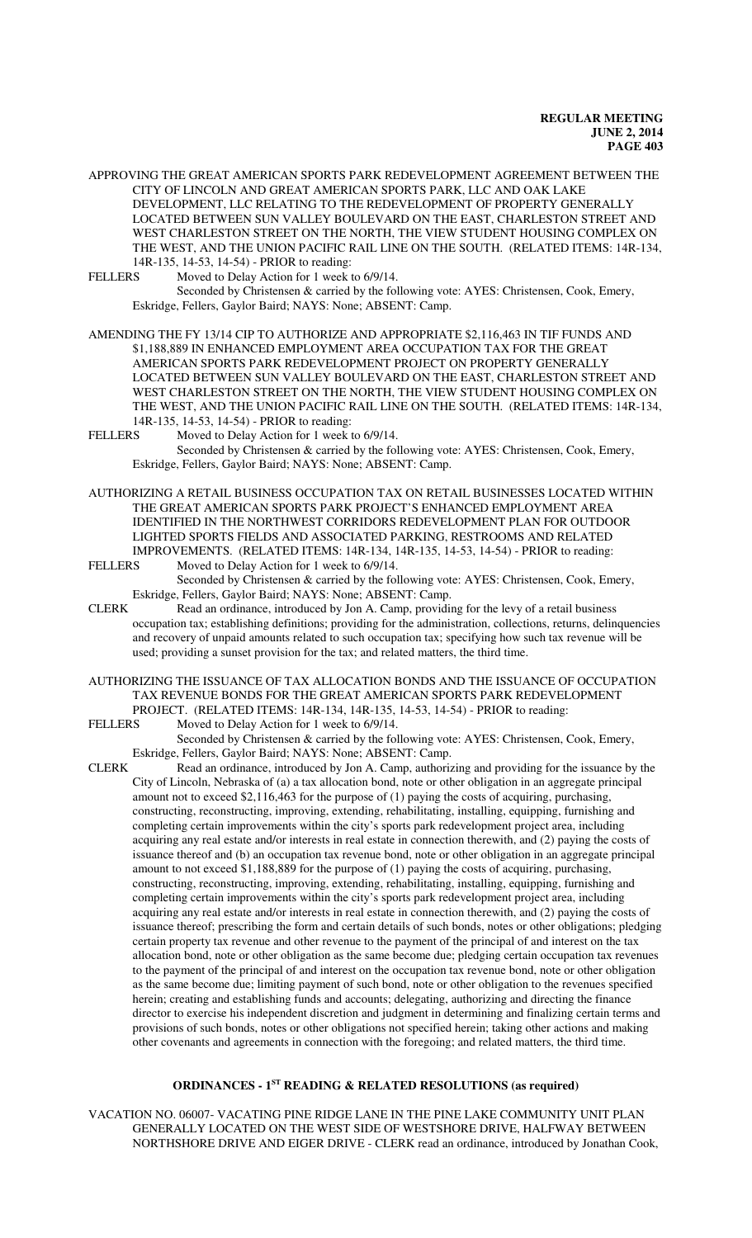APPROVING THE GREAT AMERICAN SPORTS PARK REDEVELOPMENT AGREEMENT BETWEEN THE CITY OF LINCOLN AND GREAT AMERICAN SPORTS PARK, LLC AND OAK LAKE DEVELOPMENT, LLC RELATING TO THE REDEVELOPMENT OF PROPERTY GENERALLY LOCATED BETWEEN SUN VALLEY BOULEVARD ON THE EAST, CHARLESTON STREET AND WEST CHARLESTON STREET ON THE NORTH, THE VIEW STUDENT HOUSING COMPLEX ON THE WEST, AND THE UNION PACIFIC RAIL LINE ON THE SOUTH. (RELATED ITEMS: 14R-134, 14R-135, 14-53, 14-54) - PRIOR to reading:

FELLERS Moved to Delay Action for 1 week to 6/9/14. Seconded by Christensen & carried by the following vote: AYES: Christensen, Cook, Emery, Eskridge, Fellers, Gaylor Baird; NAYS: None; ABSENT: Camp.

AMENDING THE FY 13/14 CIP TO AUTHORIZE AND APPROPRIATE \$2,116,463 IN TIF FUNDS AND \$1,188,889 IN ENHANCED EMPLOYMENT AREA OCCUPATION TAX FOR THE GREAT AMERICAN SPORTS PARK REDEVELOPMENT PROJECT ON PROPERTY GENERALLY LOCATED BETWEEN SUN VALLEY BOULEVARD ON THE EAST, CHARLESTON STREET AND WEST CHARLESTON STREET ON THE NORTH, THE VIEW STUDENT HOUSING COMPLEX ON THE WEST, AND THE UNION PACIFIC RAIL LINE ON THE SOUTH. (RELATED ITEMS: 14R-134, 14R-135, 14-53, 14-54) - PRIOR to reading:<br>FELLERS Moved to Delay Action for 1 week to

Moved to Delay Action for 1 week to 6/9/14. Seconded by Christensen & carried by the following vote: AYES: Christensen, Cook, Emery, Eskridge, Fellers, Gaylor Baird; NAYS: None; ABSENT: Camp.

AUTHORIZING A RETAIL BUSINESS OCCUPATION TAX ON RETAIL BUSINESSES LOCATED WITHIN THE GREAT AMERICAN SPORTS PARK PROJECT'S ENHANCED EMPLOYMENT AREA IDENTIFIED IN THE NORTHWEST CORRIDORS REDEVELOPMENT PLAN FOR OUTDOOR LIGHTED SPORTS FIELDS AND ASSOCIATED PARKING, RESTROOMS AND RELATED IMPROVEMENTS. (RELATED ITEMS: 14R-134, 14R-135, 14-53, 14-54) - PRIOR to reading:

- FELLERS Moved to Delay Action for 1 week to 6/9/14. Seconded by Christensen & carried by the following vote: AYES: Christensen, Cook, Emery, Eskridge, Fellers, Gaylor Baird; NAYS: None; ABSENT: Camp.
- CLERK Read an ordinance, introduced by Jon A. Camp, providing for the levy of a retail business occupation tax; establishing definitions; providing for the administration, collections, returns, delinquencies and recovery of unpaid amounts related to such occupation tax; specifying how such tax revenue will be used; providing a sunset provision for the tax; and related matters, the third time.

AUTHORIZING THE ISSUANCE OF TAX ALLOCATION BONDS AND THE ISSUANCE OF OCCUPATION TAX REVENUE BONDS FOR THE GREAT AMERICAN SPORTS PARK REDEVELOPMENT PROJECT. (RELATED ITEMS: 14R-134, 14R-135, 14-53, 14-54) - PRIOR to reading:

FELLERS Moved to Delay Action for 1 week to 6/9/14. Seconded by Christensen & carried by the following vote: AYES: Christensen, Cook, Emery,

Eskridge, Fellers, Gaylor Baird; NAYS: None; ABSENT: Camp.

CLERK Read an ordinance, introduced by Jon A. Camp, authorizing and providing for the issuance by the City of Lincoln, Nebraska of (a) a tax allocation bond, note or other obligation in an aggregate principal amount not to exceed \$2,116,463 for the purpose of (1) paying the costs of acquiring, purchasing, constructing, reconstructing, improving, extending, rehabilitating, installing, equipping, furnishing and completing certain improvements within the city's sports park redevelopment project area, including acquiring any real estate and/or interests in real estate in connection therewith, and (2) paying the costs of issuance thereof and (b) an occupation tax revenue bond, note or other obligation in an aggregate principal amount to not exceed \$1,188,889 for the purpose of (1) paying the costs of acquiring, purchasing, constructing, reconstructing, improving, extending, rehabilitating, installing, equipping, furnishing and completing certain improvements within the city's sports park redevelopment project area, including acquiring any real estate and/or interests in real estate in connection therewith, and (2) paying the costs of issuance thereof; prescribing the form and certain details of such bonds, notes or other obligations; pledging certain property tax revenue and other revenue to the payment of the principal of and interest on the tax allocation bond, note or other obligation as the same become due; pledging certain occupation tax revenues to the payment of the principal of and interest on the occupation tax revenue bond, note or other obligation as the same become due; limiting payment of such bond, note or other obligation to the revenues specified herein; creating and establishing funds and accounts; delegating, authorizing and directing the finance director to exercise his independent discretion and judgment in determining and finalizing certain terms and provisions of such bonds, notes or other obligations not specified herein; taking other actions and making other covenants and agreements in connection with the foregoing; and related matters, the third time.

#### **ORDINANCES - 1ST READING & RELATED RESOLUTIONS (as required)**

VACATION NO. 06007- VACATING PINE RIDGE LANE IN THE PINE LAKE COMMUNITY UNIT PLAN GENERALLY LOCATED ON THE WEST SIDE OF WESTSHORE DRIVE, HALFWAY BETWEEN NORTHSHORE DRIVE AND EIGER DRIVE - CLERK read an ordinance, introduced by Jonathan Cook,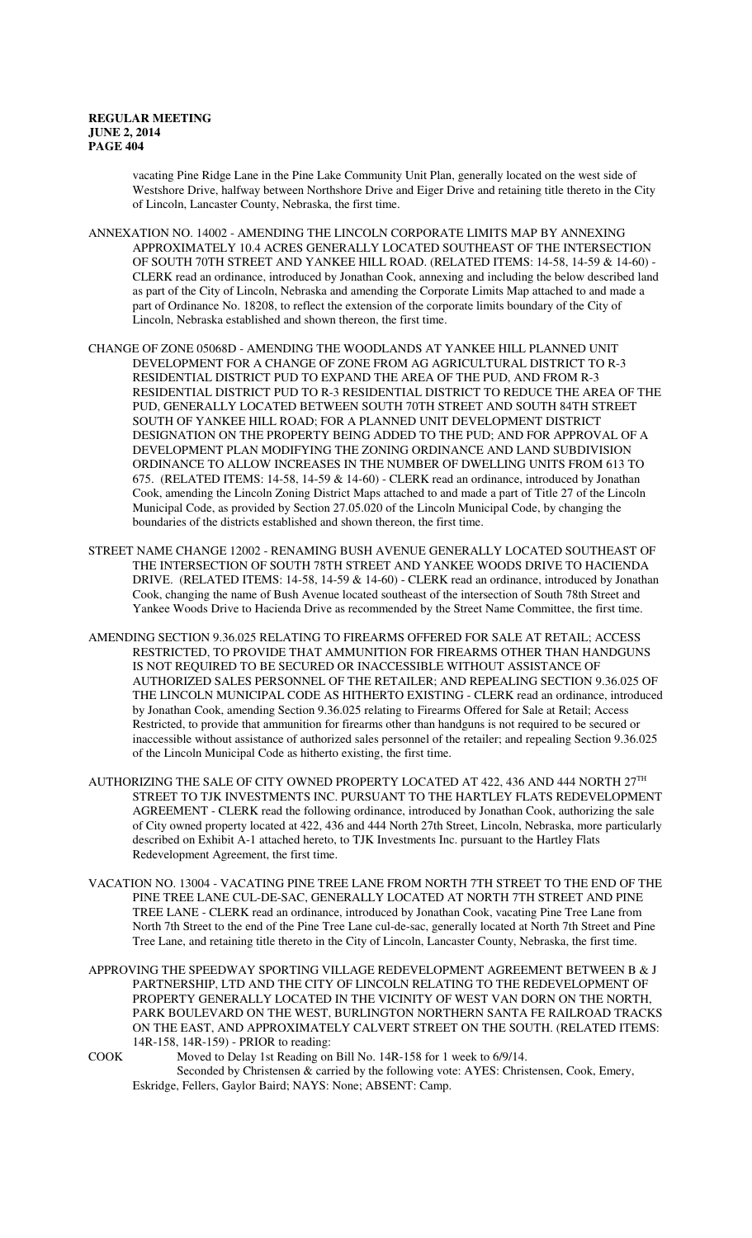vacating Pine Ridge Lane in the Pine Lake Community Unit Plan, generally located on the west side of Westshore Drive, halfway between Northshore Drive and Eiger Drive and retaining title thereto in the City of Lincoln, Lancaster County, Nebraska, the first time.

- ANNEXATION NO. 14002 AMENDING THE LINCOLN CORPORATE LIMITS MAP BY ANNEXING APPROXIMATELY 10.4 ACRES GENERALLY LOCATED SOUTHEAST OF THE INTERSECTION OF SOUTH 70TH STREET AND YANKEE HILL ROAD. (RELATED ITEMS: 14-58, 14-59 & 14-60) - CLERK read an ordinance, introduced by Jonathan Cook, annexing and including the below described land as part of the City of Lincoln, Nebraska and amending the Corporate Limits Map attached to and made a part of Ordinance No. 18208, to reflect the extension of the corporate limits boundary of the City of Lincoln, Nebraska established and shown thereon, the first time.
- CHANGE OF ZONE 05068D AMENDING THE WOODLANDS AT YANKEE HILL PLANNED UNIT DEVELOPMENT FOR A CHANGE OF ZONE FROM AG AGRICULTURAL DISTRICT TO R-3 RESIDENTIAL DISTRICT PUD TO EXPAND THE AREA OF THE PUD, AND FROM R-3 RESIDENTIAL DISTRICT PUD TO R-3 RESIDENTIAL DISTRICT TO REDUCE THE AREA OF THE PUD, GENERALLY LOCATED BETWEEN SOUTH 70TH STREET AND SOUTH 84TH STREET SOUTH OF YANKEE HILL ROAD; FOR A PLANNED UNIT DEVELOPMENT DISTRICT DESIGNATION ON THE PROPERTY BEING ADDED TO THE PUD; AND FOR APPROVAL OF A DEVELOPMENT PLAN MODIFYING THE ZONING ORDINANCE AND LAND SUBDIVISION ORDINANCE TO ALLOW INCREASES IN THE NUMBER OF DWELLING UNITS FROM 613 TO 675. (RELATED ITEMS: 14-58, 14-59 & 14-60) - CLERK read an ordinance, introduced by Jonathan Cook, amending the Lincoln Zoning District Maps attached to and made a part of Title 27 of the Lincoln Municipal Code, as provided by Section 27.05.020 of the Lincoln Municipal Code, by changing the boundaries of the districts established and shown thereon, the first time.
- STREET NAME CHANGE 12002 RENAMING BUSH AVENUE GENERALLY LOCATED SOUTHEAST OF THE INTERSECTION OF SOUTH 78TH STREET AND YANKEE WOODS DRIVE TO HACIENDA DRIVE. (RELATED ITEMS: 14-58, 14-59 & 14-60) - CLERK read an ordinance, introduced by Jonathan Cook, changing the name of Bush Avenue located southeast of the intersection of South 78th Street and Yankee Woods Drive to Hacienda Drive as recommended by the Street Name Committee, the first time.
- AMENDING SECTION 9.36.025 RELATING TO FIREARMS OFFERED FOR SALE AT RETAIL; ACCESS RESTRICTED, TO PROVIDE THAT AMMUNITION FOR FIREARMS OTHER THAN HANDGUNS IS NOT REQUIRED TO BE SECURED OR INACCESSIBLE WITHOUT ASSISTANCE OF AUTHORIZED SALES PERSONNEL OF THE RETAILER; AND REPEALING SECTION 9.36.025 OF THE LINCOLN MUNICIPAL CODE AS HITHERTO EXISTING - CLERK read an ordinance, introduced by Jonathan Cook, amending Section 9.36.025 relating to Firearms Offered for Sale at Retail; Access Restricted, to provide that ammunition for firearms other than handguns is not required to be secured or inaccessible without assistance of authorized sales personnel of the retailer; and repealing Section 9.36.025 of the Lincoln Municipal Code as hitherto existing, the first time.
- AUTHORIZING THE SALE OF CITY OWNED PROPERTY LOCATED AT 422, 436 AND 444 NORTH  $27^{\text{TH}}$ STREET TO TJK INVESTMENTS INC. PURSUANT TO THE HARTLEY FLATS REDEVELOPMENT AGREEMENT - CLERK read the following ordinance, introduced by Jonathan Cook, authorizing the sale of City owned property located at 422, 436 and 444 North 27th Street, Lincoln, Nebraska, more particularly described on Exhibit A-1 attached hereto, to TJK Investments Inc. pursuant to the Hartley Flats Redevelopment Agreement, the first time.
- VACATION NO. 13004 VACATING PINE TREE LANE FROM NORTH 7TH STREET TO THE END OF THE PINE TREE LANE CUL-DE-SAC, GENERALLY LOCATED AT NORTH 7TH STREET AND PINE TREE LANE - CLERK read an ordinance, introduced by Jonathan Cook, vacating Pine Tree Lane from North 7th Street to the end of the Pine Tree Lane cul-de-sac, generally located at North 7th Street and Pine Tree Lane, and retaining title thereto in the City of Lincoln, Lancaster County, Nebraska, the first time.
- APPROVING THE SPEEDWAY SPORTING VILLAGE REDEVELOPMENT AGREEMENT BETWEEN B & J PARTNERSHIP, LTD AND THE CITY OF LINCOLN RELATING TO THE REDEVELOPMENT OF PROPERTY GENERALLY LOCATED IN THE VICINITY OF WEST VAN DORN ON THE NORTH, PARK BOULEVARD ON THE WEST, BURLINGTON NORTHERN SANTA FE RAILROAD TRACKS ON THE EAST, AND APPROXIMATELY CALVERT STREET ON THE SOUTH. (RELATED ITEMS: 14R-158, 14R-159) - PRIOR to reading:

COOK Moved to Delay 1st Reading on Bill No. 14R-158 for 1 week to 6/9/14. Seconded by Christensen & carried by the following vote: AYES: Christensen, Cook, Emery, Eskridge, Fellers, Gaylor Baird; NAYS: None; ABSENT: Camp.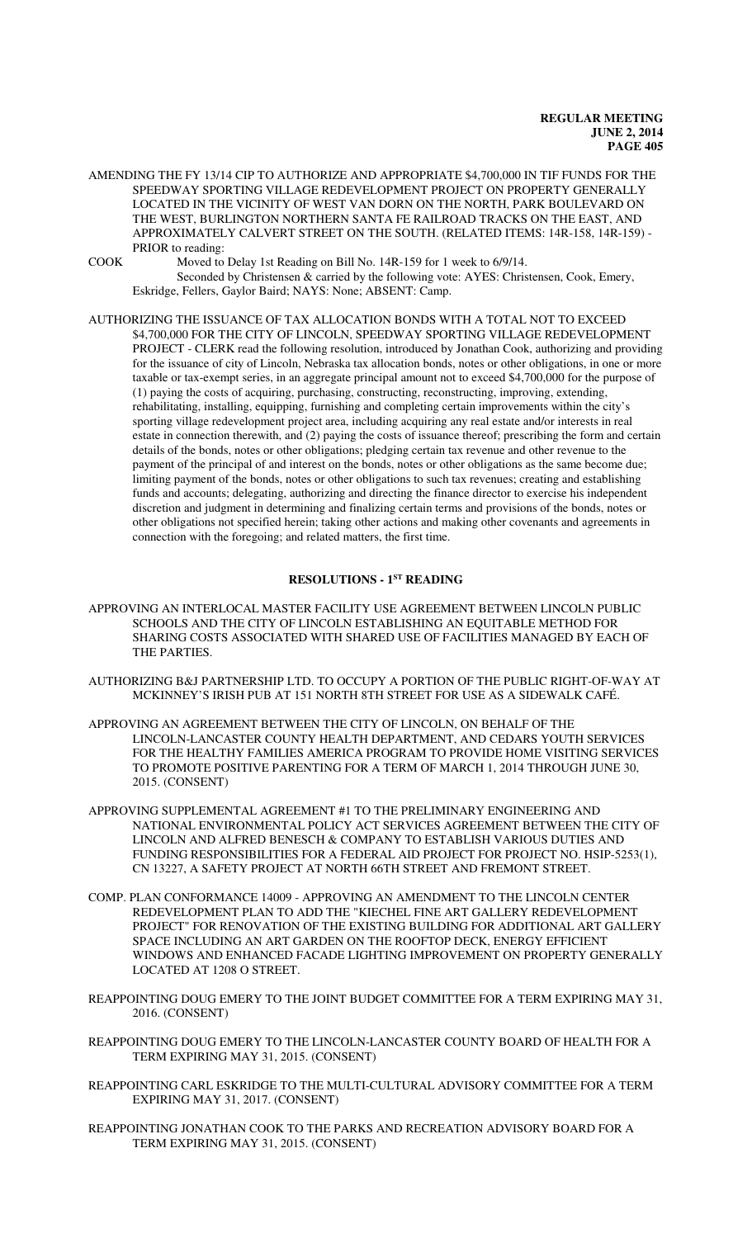AMENDING THE FY 13/14 CIP TO AUTHORIZE AND APPROPRIATE \$4,700,000 IN TIF FUNDS FOR THE SPEEDWAY SPORTING VILLAGE REDEVELOPMENT PROJECT ON PROPERTY GENERALLY LOCATED IN THE VICINITY OF WEST VAN DORN ON THE NORTH, PARK BOULEVARD ON THE WEST, BURLINGTON NORTHERN SANTA FE RAILROAD TRACKS ON THE EAST, AND APPROXIMATELY CALVERT STREET ON THE SOUTH. (RELATED ITEMS: 14R-158, 14R-159) - PRIOR to reading:

COOK Moved to Delay 1st Reading on Bill No. 14R-159 for 1 week to 6/9/14. Seconded by Christensen & carried by the following vote: AYES: Christensen, Cook, Emery, Eskridge, Fellers, Gaylor Baird; NAYS: None; ABSENT: Camp.

AUTHORIZING THE ISSUANCE OF TAX ALLOCATION BONDS WITH A TOTAL NOT TO EXCEED \$4,700,000 FOR THE CITY OF LINCOLN, SPEEDWAY SPORTING VILLAGE REDEVELOPMENT PROJECT - CLERK read the following resolution, introduced by Jonathan Cook, authorizing and providing for the issuance of city of Lincoln, Nebraska tax allocation bonds, notes or other obligations, in one or more taxable or tax-exempt series, in an aggregate principal amount not to exceed \$4,700,000 for the purpose of (1) paying the costs of acquiring, purchasing, constructing, reconstructing, improving, extending, rehabilitating, installing, equipping, furnishing and completing certain improvements within the city's sporting village redevelopment project area, including acquiring any real estate and/or interests in real estate in connection therewith, and (2) paying the costs of issuance thereof; prescribing the form and certain details of the bonds, notes or other obligations; pledging certain tax revenue and other revenue to the payment of the principal of and interest on the bonds, notes or other obligations as the same become due; limiting payment of the bonds, notes or other obligations to such tax revenues; creating and establishing funds and accounts; delegating, authorizing and directing the finance director to exercise his independent discretion and judgment in determining and finalizing certain terms and provisions of the bonds, notes or other obligations not specified herein; taking other actions and making other covenants and agreements in connection with the foregoing; and related matters, the first time.

## **RESOLUTIONS - 1ST READING**

- APPROVING AN INTERLOCAL MASTER FACILITY USE AGREEMENT BETWEEN LINCOLN PUBLIC SCHOOLS AND THE CITY OF LINCOLN ESTABLISHING AN EQUITABLE METHOD FOR SHARING COSTS ASSOCIATED WITH SHARED USE OF FACILITIES MANAGED BY EACH OF THE PARTIES.
- AUTHORIZING B&J PARTNERSHIP LTD. TO OCCUPY A PORTION OF THE PUBLIC RIGHT-OF-WAY AT MCKINNEY'S IRISH PUB AT 151 NORTH 8TH STREET FOR USE AS A SIDEWALK CAFÉ.
- APPROVING AN AGREEMENT BETWEEN THE CITY OF LINCOLN, ON BEHALF OF THE LINCOLN-LANCASTER COUNTY HEALTH DEPARTMENT, AND CEDARS YOUTH SERVICES FOR THE HEALTHY FAMILIES AMERICA PROGRAM TO PROVIDE HOME VISITING SERVICES TO PROMOTE POSITIVE PARENTING FOR A TERM OF MARCH 1, 2014 THROUGH JUNE 30, 2015. (CONSENT)
- APPROVING SUPPLEMENTAL AGREEMENT #1 TO THE PRELIMINARY ENGINEERING AND NATIONAL ENVIRONMENTAL POLICY ACT SERVICES AGREEMENT BETWEEN THE CITY OF LINCOLN AND ALFRED BENESCH & COMPANY TO ESTABLISH VARIOUS DUTIES AND FUNDING RESPONSIBILITIES FOR A FEDERAL AID PROJECT FOR PROJECT NO. HSIP-5253(1), CN 13227, A SAFETY PROJECT AT NORTH 66TH STREET AND FREMONT STREET.
- COMP. PLAN CONFORMANCE 14009 APPROVING AN AMENDMENT TO THE LINCOLN CENTER REDEVELOPMENT PLAN TO ADD THE "KIECHEL FINE ART GALLERY REDEVELOPMENT PROJECT" FOR RENOVATION OF THE EXISTING BUILDING FOR ADDITIONAL ART GALLERY SPACE INCLUDING AN ART GARDEN ON THE ROOFTOP DECK, ENERGY EFFICIENT WINDOWS AND ENHANCED FACADE LIGHTING IMPROVEMENT ON PROPERTY GENERALLY LOCATED AT 1208 O STREET.
- REAPPOINTING DOUG EMERY TO THE JOINT BUDGET COMMITTEE FOR A TERM EXPIRING MAY 31, 2016. (CONSENT)
- REAPPOINTING DOUG EMERY TO THE LINCOLN-LANCASTER COUNTY BOARD OF HEALTH FOR A TERM EXPIRING MAY 31, 2015. (CONSENT)
- REAPPOINTING CARL ESKRIDGE TO THE MULTI-CULTURAL ADVISORY COMMITTEE FOR A TERM EXPIRING MAY 31, 2017. (CONSENT)
- REAPPOINTING JONATHAN COOK TO THE PARKS AND RECREATION ADVISORY BOARD FOR A TERM EXPIRING MAY 31, 2015. (CONSENT)